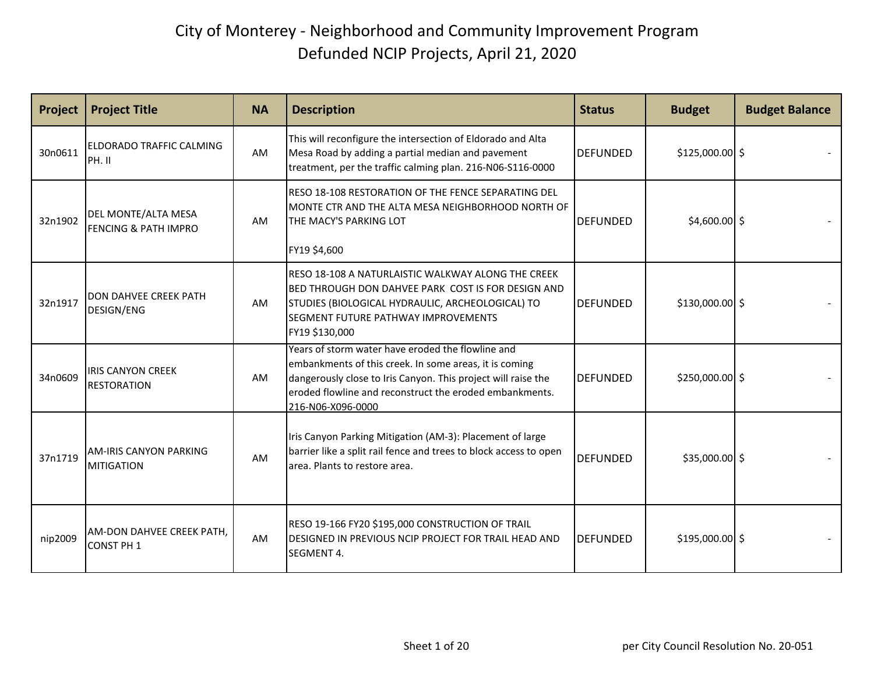| Project | <b>Project Title</b>                                   | <b>NA</b> | <b>Description</b>                                                                                                                                                                                                                                           | <b>Status</b>   | <b>Budget</b>    | <b>Budget Balance</b> |
|---------|--------------------------------------------------------|-----------|--------------------------------------------------------------------------------------------------------------------------------------------------------------------------------------------------------------------------------------------------------------|-----------------|------------------|-----------------------|
| 30n0611 | ELDORADO TRAFFIC CALMING<br>PH. II                     | AM        | This will reconfigure the intersection of Eldorado and Alta<br>Mesa Road by adding a partial median and pavement<br>treatment, per the traffic calming plan. 216-N06-S116-0000                                                                               | <b>DEFUNDED</b> | $$125,000.00$ \$ |                       |
| 32n1902 | DEL MONTE/ALTA MESA<br><b>FENCING &amp; PATH IMPRO</b> | AM        | RESO 18-108 RESTORATION OF THE FENCE SEPARATING DEL<br>MONTE CTR AND THE ALTA MESA NEIGHBORHOOD NORTH OF<br>THE MACY'S PARKING LOT<br>FY19 \$4,600                                                                                                           | <b>DEFUNDED</b> | $$4,600.00$ \$   |                       |
| 32n1917 | <b>DON DAHVEE CREEK PATH</b><br>DESIGN/ENG             | AM        | RESO 18-108 A NATURLAISTIC WALKWAY ALONG THE CREEK<br>BED THROUGH DON DAHVEE PARK COST IS FOR DESIGN AND<br>STUDIES (BIOLOGICAL HYDRAULIC, ARCHEOLOGICAL) TO<br>SEGMENT FUTURE PATHWAY IMPROVEMENTS<br>FY19 \$130,000                                        | <b>DEFUNDED</b> | $$130,000.00$ \$ |                       |
| 34n0609 | <b>IRIS CANYON CREEK</b><br><b>RESTORATION</b>         | AM        | Years of storm water have eroded the flowline and<br>embankments of this creek. In some areas, it is coming<br>dangerously close to Iris Canyon. This project will raise the<br>eroded flowline and reconstruct the eroded embankments.<br>216-N06-X096-0000 | <b>DEFUNDED</b> | $$250,000.00$ \$ |                       |
| 37n1719 | <b>AM-IRIS CANYON PARKING</b><br><b>MITIGATION</b>     | AM        | Iris Canyon Parking Mitigation (AM-3): Placement of large<br>barrier like a split rail fence and trees to block access to open<br>area. Plants to restore area.                                                                                              | <b>DEFUNDED</b> | $$35,000.00$ \$  |                       |
| nip2009 | AM-DON DAHVEE CREEK PATH,<br><b>CONST PH 1</b>         | <b>AM</b> | RESO 19-166 FY20 \$195,000 CONSTRUCTION OF TRAIL<br>DESIGNED IN PREVIOUS NCIP PROJECT FOR TRAIL HEAD AND<br>SEGMENT 4.                                                                                                                                       | <b>DEFUNDED</b> | $$195,000.00$ \$ |                       |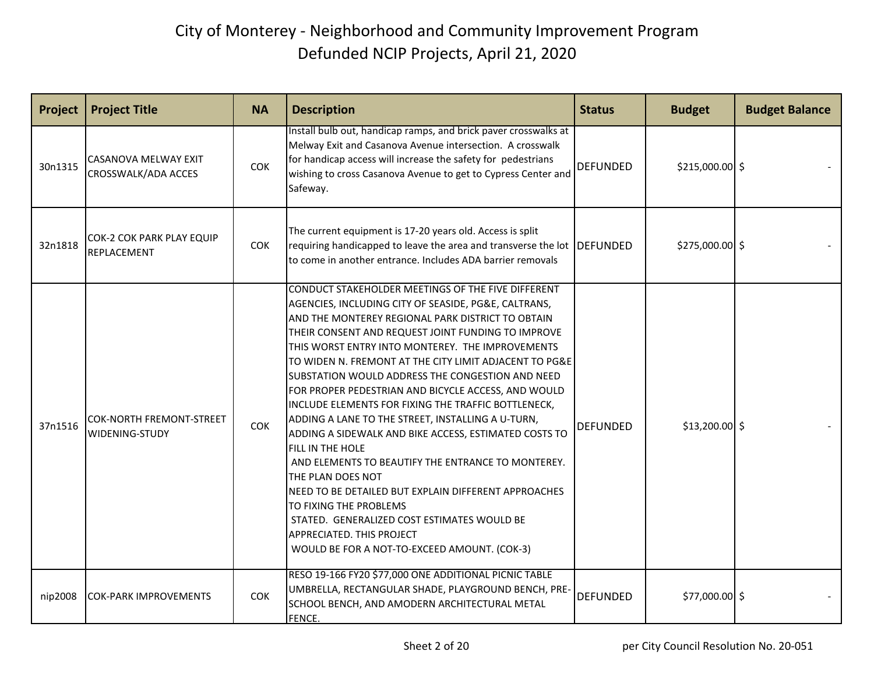| Project | <b>Project Title</b>                        | <b>NA</b>  | <b>Description</b>                                                                                                                                                                                                                                                                                                                                                                                                                                                                                                                                                                                                                                                                                                                                                                                                                                                                                                               | <b>Status</b>   | <b>Budget</b>    | <b>Budget Balance</b> |
|---------|---------------------------------------------|------------|----------------------------------------------------------------------------------------------------------------------------------------------------------------------------------------------------------------------------------------------------------------------------------------------------------------------------------------------------------------------------------------------------------------------------------------------------------------------------------------------------------------------------------------------------------------------------------------------------------------------------------------------------------------------------------------------------------------------------------------------------------------------------------------------------------------------------------------------------------------------------------------------------------------------------------|-----------------|------------------|-----------------------|
| 30n1315 | CASANOVA MELWAY EXIT<br>CROSSWALK/ADA ACCES | COK        | Install bulb out, handicap ramps, and brick paver crosswalks at<br>Melway Exit and Casanova Avenue intersection. A crosswalk<br>for handicap access will increase the safety for pedestrians<br>wishing to cross Casanova Avenue to get to Cypress Center and<br>Safeway.                                                                                                                                                                                                                                                                                                                                                                                                                                                                                                                                                                                                                                                        | <b>DEFUNDED</b> | $$215,000.00$ \$ |                       |
| 32n1818 | COK-2 COK PARK PLAY EQUIP<br>REPLACEMENT    | COK        | The current equipment is 17-20 years old. Access is split<br>requiring handicapped to leave the area and transverse the lot DEFUNDED<br>to come in another entrance. Includes ADA barrier removals                                                                                                                                                                                                                                                                                                                                                                                                                                                                                                                                                                                                                                                                                                                               |                 | $$275,000.00$ \$ |                       |
| 37n1516 | COK-NORTH FREMONT-STREET<br>WIDENING-STUDY  | COK        | CONDUCT STAKEHOLDER MEETINGS OF THE FIVE DIFFERENT<br>AGENCIES, INCLUDING CITY OF SEASIDE, PG&E, CALTRANS,<br>AND THE MONTEREY REGIONAL PARK DISTRICT TO OBTAIN<br>THEIR CONSENT AND REQUEST JOINT FUNDING TO IMPROVE<br>THIS WORST ENTRY INTO MONTEREY. THE IMPROVEMENTS<br>TO WIDEN N. FREMONT AT THE CITY LIMIT ADJACENT TO PG&E<br>SUBSTATION WOULD ADDRESS THE CONGESTION AND NEED<br>FOR PROPER PEDESTRIAN AND BICYCLE ACCESS, AND WOULD<br>INCLUDE ELEMENTS FOR FIXING THE TRAFFIC BOTTLENECK,<br>ADDING A LANE TO THE STREET, INSTALLING A U-TURN,<br>ADDING A SIDEWALK AND BIKE ACCESS, ESTIMATED COSTS TO<br>FILL IN THE HOLE<br>AND ELEMENTS TO BEAUTIFY THE ENTRANCE TO MONTEREY.<br>THE PLAN DOES NOT<br>NEED TO BE DETAILED BUT EXPLAIN DIFFERENT APPROACHES<br>TO FIXING THE PROBLEMS<br>STATED. GENERALIZED COST ESTIMATES WOULD BE<br>APPRECIATED. THIS PROJECT<br>WOULD BE FOR A NOT-TO-EXCEED AMOUNT. (COK-3) | <b>DEFUNDED</b> | $$13,200.00$ \$  |                       |
| nip2008 | <b>COK-PARK IMPROVEMENTS</b>                | <b>COK</b> | RESO 19-166 FY20 \$77,000 ONE ADDITIONAL PICNIC TABLE<br>UMBRELLA, RECTANGULAR SHADE, PLAYGROUND BENCH, PRE-<br>SCHOOL BENCH, AND AMODERN ARCHITECTURAL METAL<br>FENCE.                                                                                                                                                                                                                                                                                                                                                                                                                                                                                                                                                                                                                                                                                                                                                          | <b>DEFUNDED</b> | \$77,000.00 \$   |                       |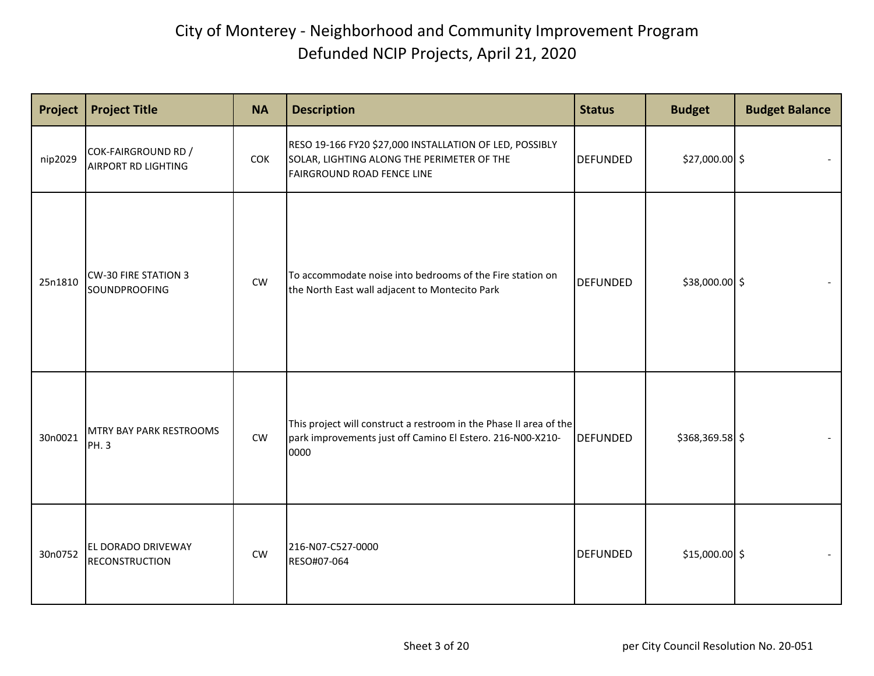| Project | <b>Project Title</b>                                     | <b>NA</b>  | <b>Description</b>                                                                                                                         | <b>Status</b>   | <b>Budget</b>   | <b>Budget Balance</b> |
|---------|----------------------------------------------------------|------------|--------------------------------------------------------------------------------------------------------------------------------------------|-----------------|-----------------|-----------------------|
| nip2029 | <b>COK-FAIRGROUND RD /</b><br><b>AIRPORT RD LIGHTING</b> | <b>COK</b> | RESO 19-166 FY20 \$27,000 INSTALLATION OF LED, POSSIBLY<br>SOLAR, LIGHTING ALONG THE PERIMETER OF THE<br><b>FAIRGROUND ROAD FENCE LINE</b> | <b>DEFUNDED</b> | \$27,000.00 \$  |                       |
| 25n1810 | <b>CW-30 FIRE STATION 3</b><br>SOUNDPROOFING             | ${\sf CW}$ | To accommodate noise into bedrooms of the Fire station on<br>the North East wall adjacent to Montecito Park                                | <b>DEFUNDED</b> | \$38,000.00 \$  |                       |
| 30n0021 | <b>MTRY BAY PARK RESTROOMS</b><br>PH. 3                  | CW         | This project will construct a restroom in the Phase II area of the<br>park improvements just off Camino El Estero. 216-N00-X210-<br>0000   | <b>DEFUNDED</b> | \$368,369.58 \$ |                       |
| 30n0752 | <b>EL DORADO DRIVEWAY</b><br><b>RECONSTRUCTION</b>       | <b>CW</b>  | 216-N07-C527-0000<br>RESO#07-064                                                                                                           | <b>DEFUNDED</b> | $$15,000.00$ \$ |                       |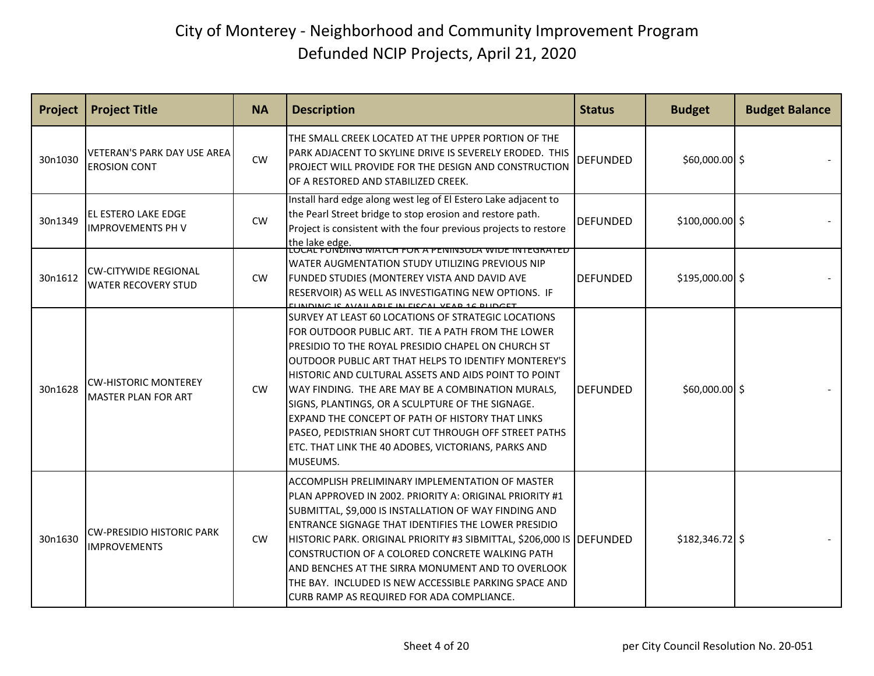| Project | <b>Project Title</b>                                      | <b>NA</b> | <b>Description</b>                                                                                                                                                                                                                                                                                                                                                                                                                                                                                                                                                     | <b>Status</b>   | <b>Budget</b>    | <b>Budget Balance</b> |
|---------|-----------------------------------------------------------|-----------|------------------------------------------------------------------------------------------------------------------------------------------------------------------------------------------------------------------------------------------------------------------------------------------------------------------------------------------------------------------------------------------------------------------------------------------------------------------------------------------------------------------------------------------------------------------------|-----------------|------------------|-----------------------|
| 30n1030 | VETERAN'S PARK DAY USE AREA<br><b>EROSION CONT</b>        | <b>CW</b> | THE SMALL CREEK LOCATED AT THE UPPER PORTION OF THE<br>PARK ADJACENT TO SKYLINE DRIVE IS SEVERELY ERODED. THIS<br>PROJECT WILL PROVIDE FOR THE DESIGN AND CONSTRUCTION<br>OF A RESTORED AND STABILIZED CREEK.                                                                                                                                                                                                                                                                                                                                                          | <b>DEFUNDED</b> | $$60,000.00$ \$  |                       |
| 30n1349 | EL ESTERO LAKE EDGE<br><b>IMPROVEMENTS PH V</b>           | <b>CW</b> | Install hard edge along west leg of El Estero Lake adjacent to<br>the Pearl Street bridge to stop erosion and restore path.<br>Project is consistent with the four previous projects to restore<br> the lake edge.<br> LOCAL FONDING MATCH FOR A PENINSULA WIDE INTEGRATED                                                                                                                                                                                                                                                                                             | <b>DEFUNDED</b> | $$100,000.00$ \$ |                       |
| 30n1612 | <b>CW-CITYWIDE REGIONAL</b><br><b>WATER RECOVERY STUD</b> | CW        | WATER AUGMENTATION STUDY UTILIZING PREVIOUS NIP<br>FUNDED STUDIES (MONTEREY VISTA AND DAVID AVE<br>RESERVOIR) AS WELL AS INVESTIGATING NEW OPTIONS. IF                                                                                                                                                                                                                                                                                                                                                                                                                 | <b>DEFUNDED</b> | $$195,000.00$ \$ |                       |
| 30n1628 | <b>CW-HISTORIC MONTEREY</b><br><b>MASTER PLAN FOR ART</b> | <b>CW</b> | SURVEY AT LEAST 60 LOCATIONS OF STRATEGIC LOCATIONS<br>FOR OUTDOOR PUBLIC ART. TIE A PATH FROM THE LOWER<br>PRESIDIO TO THE ROYAL PRESIDIO CHAPEL ON CHURCH ST<br>OUTDOOR PUBLIC ART THAT HELPS TO IDENTIFY MONTEREY'S<br>HISTORIC AND CULTURAL ASSETS AND AIDS POINT TO POINT<br>WAY FINDING. THE ARE MAY BE A COMBINATION MURALS,<br>SIGNS, PLANTINGS, OR A SCULPTURE OF THE SIGNAGE.<br>EXPAND THE CONCEPT OF PATH OF HISTORY THAT LINKS<br>PASEO, PEDISTRIAN SHORT CUT THROUGH OFF STREET PATHS<br>ETC. THAT LINK THE 40 ADOBES, VICTORIANS, PARKS AND<br>MUSEUMS. | <b>DEFUNDED</b> | $$60,000.00$ \$  |                       |
| 30n1630 | <b>CW-PRESIDIO HISTORIC PARK</b><br><b>IMPROVEMENTS</b>   | CW        | ACCOMPLISH PRELIMINARY IMPLEMENTATION OF MASTER<br>PLAN APPROVED IN 2002. PRIORITY A: ORIGINAL PRIORITY #1<br>SUBMITTAL, \$9,000 IS INSTALLATION OF WAY FINDING AND<br>ENTRANCE SIGNAGE THAT IDENTIFIES THE LOWER PRESIDIO<br>HISTORIC PARK. ORIGINAL PRIORITY #3 SIBMITTAL, \$206,000 IS   DEFUNDED<br>CONSTRUCTION OF A COLORED CONCRETE WALKING PATH<br>AND BENCHES AT THE SIRRA MONUMENT AND TO OVERLOOK<br>THE BAY. INCLUDED IS NEW ACCESSIBLE PARKING SPACE AND<br>CURB RAMP AS REQUIRED FOR ADA COMPLIANCE.                                                     |                 | $$182,346.72$ \$ |                       |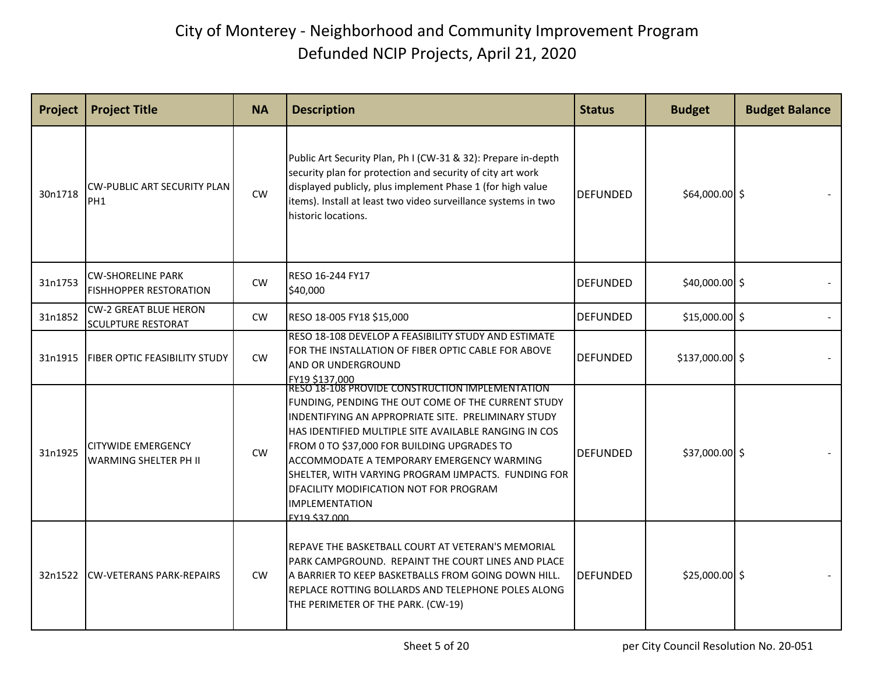| Project | <b>Project Title</b>                                      | <b>NA</b> | <b>Description</b>                                                                                                                                                                                                                                                                                                                                                                                        | <b>Status</b>   | <b>Budget</b>   | <b>Budget Balance</b> |
|---------|-----------------------------------------------------------|-----------|-----------------------------------------------------------------------------------------------------------------------------------------------------------------------------------------------------------------------------------------------------------------------------------------------------------------------------------------------------------------------------------------------------------|-----------------|-----------------|-----------------------|
| 30n1718 | <b>CW-PUBLIC ART SECURITY PLAN</b><br>PH <sub>1</sub>     | CW        | Public Art Security Plan, Ph I (CW-31 & 32): Prepare in-depth<br>security plan for protection and security of city art work<br>displayed publicly, plus implement Phase 1 (for high value<br>items). Install at least two video surveillance systems in two<br>historic locations.                                                                                                                        | <b>DEFUNDED</b> | \$64,000.00 \$  |                       |
| 31n1753 | <b>CW-SHORELINE PARK</b><br><b>FISHHOPPER RESTORATION</b> | <b>CW</b> | RESO 16-244 FY17<br>\$40,000                                                                                                                                                                                                                                                                                                                                                                              | <b>DEFUNDED</b> | $$40,000.00$ \$ |                       |
| 31n1852 | <b>CW-2 GREAT BLUE HERON</b><br><b>SCULPTURE RESTORAT</b> | <b>CW</b> | RESO 18-005 FY18 \$15,000                                                                                                                                                                                                                                                                                                                                                                                 | <b>DEFUNDED</b> | $$15,000.00$ \$ |                       |
| 31n1915 | <b>FIBER OPTIC FEASIBILITY STUDY</b>                      | CW        | RESO 18-108 DEVELOP A FEASIBILITY STUDY AND ESTIMATE<br>FOR THE INSTALLATION OF FIBER OPTIC CABLE FOR ABOVE<br>AND OR UNDERGROUND<br> FY19 \$137,000<br> RESO 18-108 PROVIDE CONSTRUCTION IMPLEMENTATION                                                                                                                                                                                                  | <b>DEFUNDED</b> | \$137,000.00 \$ |                       |
| 31n1925 | <b>CITYWIDE EMERGENCY</b><br>WARMING SHELTER PH II        | <b>CW</b> | FUNDING, PENDING THE OUT COME OF THE CURRENT STUDY<br>INDENTIFYING AN APPROPRIATE SITE. PRELIMINARY STUDY<br>HAS IDENTIFIED MULTIPLE SITE AVAILABLE RANGING IN COS<br>FROM 0 TO \$37,000 FOR BUILDING UPGRADES TO<br>ACCOMMODATE A TEMPORARY EMERGENCY WARMING<br>SHELTER, WITH VARYING PROGRAM IJMPACTS. FUNDING FOR<br>DFACILITY MODIFICATION NOT FOR PROGRAM<br><b>IMPLEMENTATION</b><br>EY19 \$37,000 | <b>DEFUNDED</b> | $$37,000.00$ \$ |                       |
| 32n1522 | <b>CW-VETERANS PARK-REPAIRS</b>                           | <b>CW</b> | REPAVE THE BASKETBALL COURT AT VETERAN'S MEMORIAL<br>PARK CAMPGROUND. REPAINT THE COURT LINES AND PLACE<br>A BARRIER TO KEEP BASKETBALLS FROM GOING DOWN HILL.<br>REPLACE ROTTING BOLLARDS AND TELEPHONE POLES ALONG<br>THE PERIMETER OF THE PARK. (CW-19)                                                                                                                                                | <b>DEFUNDED</b> | $$25,000.00$ \$ |                       |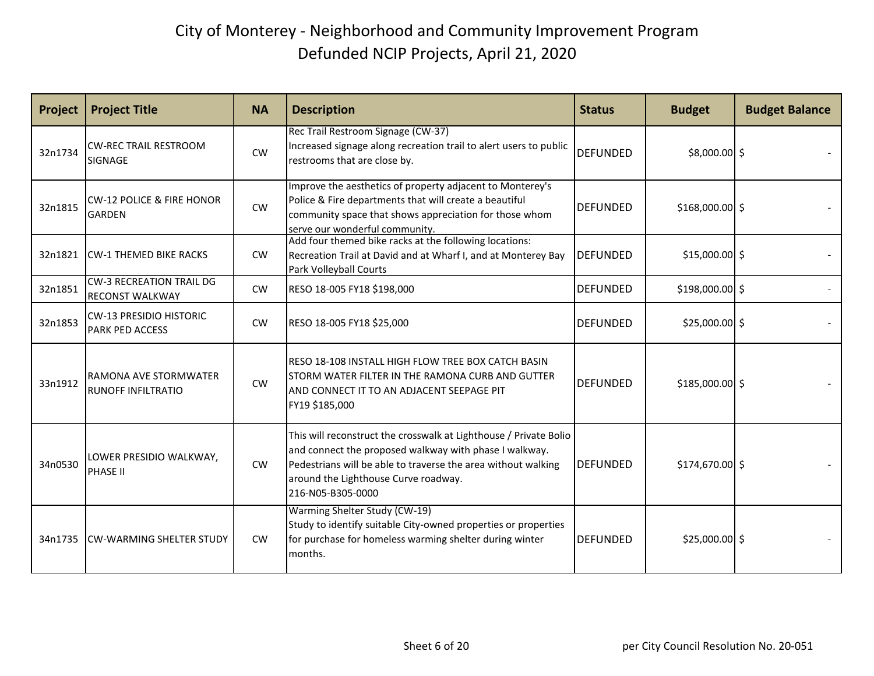| Project | <b>Project Title</b>                                      | <b>NA</b> | <b>Description</b>                                                                                                                                                                                                                                        | <b>Status</b>   | <b>Budget</b>    | <b>Budget Balance</b> |
|---------|-----------------------------------------------------------|-----------|-----------------------------------------------------------------------------------------------------------------------------------------------------------------------------------------------------------------------------------------------------------|-----------------|------------------|-----------------------|
| 32n1734 | <b>CW-REC TRAIL RESTROOM</b><br>SIGNAGE                   | CW        | Rec Trail Restroom Signage (CW-37)<br>Increased signage along recreation trail to alert users to public<br>restrooms that are close by.                                                                                                                   | <b>DEFUNDED</b> | \$8,000.00 \$    |                       |
| 32n1815 | <b>CW-12 POLICE &amp; FIRE HONOR</b><br><b>GARDEN</b>     | CW        | Improve the aesthetics of property adjacent to Monterey's<br>Police & Fire departments that will create a beautiful<br>community space that shows appreciation for those whom<br>serve our wonderful community.                                           | <b>DEFUNDED</b> | $$168,000.00$ \$ |                       |
| 32n1821 | <b>CW-1 THEMED BIKE RACKS</b>                             | <b>CW</b> | Add four themed bike racks at the following locations:<br>Recreation Trail at David and at Wharf I, and at Monterey Bay<br>Park Volleyball Courts                                                                                                         | <b>DEFUNDED</b> | $$15,000.00$ \$  |                       |
| 32n1851 | <b>CW-3 RECREATION TRAIL DG</b><br><b>RECONST WALKWAY</b> | <b>CW</b> | RESO 18-005 FY18 \$198,000                                                                                                                                                                                                                                | <b>DEFUNDED</b> | $$198,000.00$ \$ |                       |
| 32n1853 | <b>CW-13 PRESIDIO HISTORIC</b><br><b>PARK PED ACCESS</b>  | <b>CW</b> | RESO 18-005 FY18 \$25,000                                                                                                                                                                                                                                 | <b>DEFUNDED</b> | $$25,000.00$ \$  |                       |
| 33n1912 | RAMONA AVE STORMWATER<br><b>RUNOFF INFILTRATIO</b>        | <b>CW</b> | RESO 18-108 INSTALL HIGH FLOW TREE BOX CATCH BASIN<br>STORM WATER FILTER IN THE RAMONA CURB AND GUTTER<br>AND CONNECT IT TO AN ADJACENT SEEPAGE PIT<br>FY19 \$185,000                                                                                     | <b>DEFUNDED</b> | $$185,000.00$ \$ |                       |
| 34n0530 | LOWER PRESIDIO WALKWAY,<br><b>PHASE II</b>                | <b>CW</b> | This will reconstruct the crosswalk at Lighthouse / Private Bolio<br>and connect the proposed walkway with phase I walkway.<br>Pedestrians will be able to traverse the area without walking<br>around the Lighthouse Curve roadway.<br>216-N05-B305-0000 | <b>DEFUNDED</b> | $$174,670.00$ \$ |                       |
| 34n1735 | <b>CW-WARMING SHELTER STUDY</b>                           | <b>CW</b> | Warming Shelter Study (CW-19)<br>Study to identify suitable City-owned properties or properties<br>for purchase for homeless warming shelter during winter<br>months.                                                                                     | <b>DEFUNDED</b> | $$25,000.00$ \$  |                       |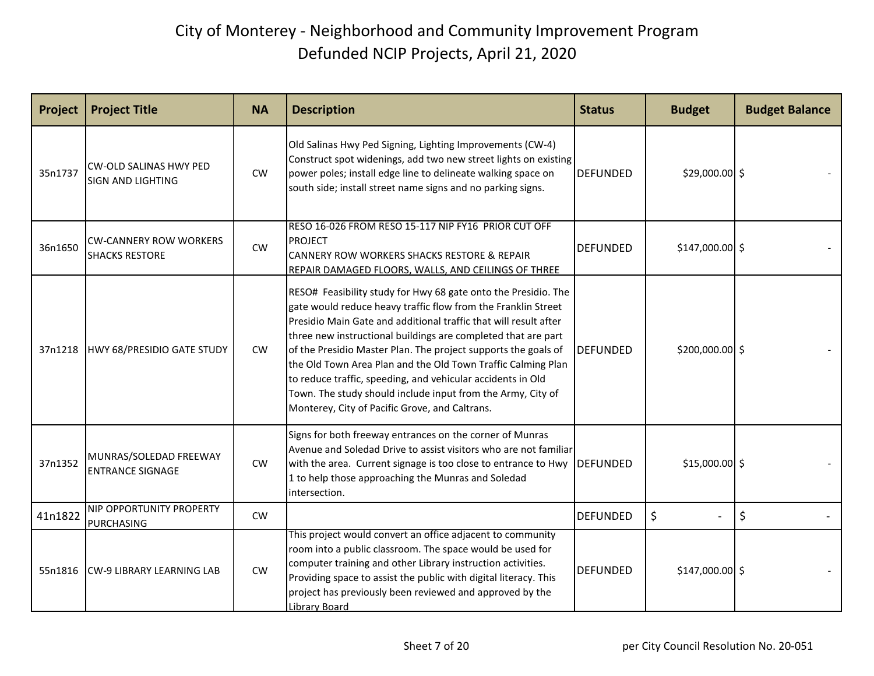| Project | <b>Project Title</b>                                      | <b>NA</b> | <b>Description</b>                                                                                                                                                                                                                                                                                                                                                                                                                                                                                                                                                                     | <b>Status</b>   | <b>Budget</b>    | <b>Budget Balance</b> |
|---------|-----------------------------------------------------------|-----------|----------------------------------------------------------------------------------------------------------------------------------------------------------------------------------------------------------------------------------------------------------------------------------------------------------------------------------------------------------------------------------------------------------------------------------------------------------------------------------------------------------------------------------------------------------------------------------------|-----------------|------------------|-----------------------|
| 35n1737 | <b>CW-OLD SALINAS HWY PED</b><br><b>SIGN AND LIGHTING</b> | CW        | Old Salinas Hwy Ped Signing, Lighting Improvements (CW-4)<br>Construct spot widenings, add two new street lights on existing<br>power poles; install edge line to delineate walking space on<br>south side; install street name signs and no parking signs.                                                                                                                                                                                                                                                                                                                            | <b>DEFUNDED</b> | $$29,000.00$ \$  |                       |
| 36n1650 | <b>CW-CANNERY ROW WORKERS</b><br><b>SHACKS RESTORE</b>    | CW        | RESO 16-026 FROM RESO 15-117 NIP FY16 PRIOR CUT OFF<br><b>PROJECT</b><br><b>CANNERY ROW WORKERS SHACKS RESTORE &amp; REPAIR</b><br>REPAIR DAMAGED FLOORS, WALLS, AND CEILINGS OF THREE                                                                                                                                                                                                                                                                                                                                                                                                 | <b>DEFUNDED</b> | $$147,000.00$ \$ |                       |
| 37n1218 | HWY 68/PRESIDIO GATE STUDY                                | <b>CW</b> | RESO# Feasibility study for Hwy 68 gate onto the Presidio. The<br>gate would reduce heavy traffic flow from the Franklin Street<br>Presidio Main Gate and additional traffic that will result after<br>three new instructional buildings are completed that are part<br>of the Presidio Master Plan. The project supports the goals of<br>the Old Town Area Plan and the Old Town Traffic Calming Plan<br>to reduce traffic, speeding, and vehicular accidents in Old<br>Town. The study should include input from the Army, City of<br>Monterey, City of Pacific Grove, and Caltrans. | <b>DEFUNDED</b> | $$200,000.00$ \$ |                       |
| 37n1352 | MUNRAS/SOLEDAD FREEWAY<br><b>ENTRANCE SIGNAGE</b>         | <b>CW</b> | Signs for both freeway entrances on the corner of Munras<br>Avenue and Soledad Drive to assist visitors who are not familiar<br>with the area. Current signage is too close to entrance to Hwy<br>1 to help those approaching the Munras and Soledad<br>intersection.                                                                                                                                                                                                                                                                                                                  | DEFUNDED        | $$15,000.00$ \$  |                       |
| 41n1822 | NIP OPPORTUNITY PROPERTY<br><b>PURCHASING</b>             | CW        |                                                                                                                                                                                                                                                                                                                                                                                                                                                                                                                                                                                        | <b>DEFUNDED</b> | $\zeta$          | $\zeta$               |
| 55n1816 | <b>CW-9 LIBRARY LEARNING LAB</b>                          | <b>CW</b> | This project would convert an office adjacent to community<br>room into a public classroom. The space would be used for<br>computer training and other Library instruction activities.<br>Providing space to assist the public with digital literacy. This<br>project has previously been reviewed and approved by the<br>Library Board                                                                                                                                                                                                                                                | <b>DEFUNDED</b> | $$147,000.00$ \$ |                       |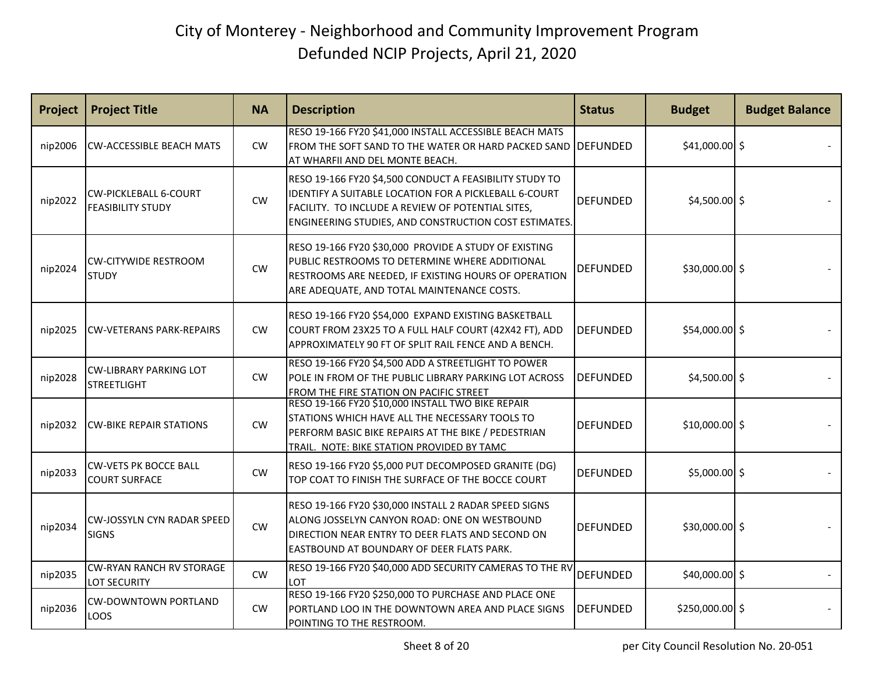| Project | <b>Project Title</b>                                     | <b>NA</b> | <b>Description</b>                                                                                                                                                                                                             | <b>Status</b>   | <b>Budget</b>    | <b>Budget Balance</b> |
|---------|----------------------------------------------------------|-----------|--------------------------------------------------------------------------------------------------------------------------------------------------------------------------------------------------------------------------------|-----------------|------------------|-----------------------|
| nip2006 | <b>CW-ACCESSIBLE BEACH MATS</b>                          | <b>CW</b> | RESO 19-166 FY20 \$41,000 INSTALL ACCESSIBLE BEACH MATS<br>FROM THE SOFT SAND TO THE WATER OR HARD PACKED SAND   DEFUNDED<br>AT WHARFII AND DEL MONTE BEACH.                                                                   |                 | \$41,000.00 \$   |                       |
| nip2022 | <b>CW-PICKLEBALL 6-COURT</b><br><b>FEASIBILITY STUDY</b> | CW        | RESO 19-166 FY20 \$4,500 CONDUCT A FEASIBILITY STUDY TO<br>IDENTIFY A SUITABLE LOCATION FOR A PICKLEBALL 6-COURT<br>FACILITY. TO INCLUDE A REVIEW OF POTENTIAL SITES,<br>ENGINEERING STUDIES, AND CONSTRUCTION COST ESTIMATES. | <b>DEFUNDED</b> | $$4,500.00$ \$   |                       |
| nip2024 | <b>CW-CITYWIDE RESTROOM</b><br><b>STUDY</b>              | <b>CW</b> | RESO 19-166 FY20 \$30,000 PROVIDE A STUDY OF EXISTING<br>PUBLIC RESTROOMS TO DETERMINE WHERE ADDITIONAL<br>RESTROOMS ARE NEEDED, IF EXISTING HOURS OF OPERATION<br>ARE ADEQUATE, AND TOTAL MAINTENANCE COSTS.                  | DEFUNDED        | $$30,000.00$ \$  |                       |
| nip2025 | <b>CW-VETERANS PARK-REPAIRS</b>                          | CW        | RESO 19-166 FY20 \$54,000 EXPAND EXISTING BASKETBALL<br>COURT FROM 23X25 TO A FULL HALF COURT (42X42 FT), ADD<br>APPROXIMATELY 90 FT OF SPLIT RAIL FENCE AND A BENCH.                                                          | <b>DEFUNDED</b> | \$54,000.00 \$   |                       |
| nip2028 | <b>CW-LIBRARY PARKING LOT</b><br><b>STREETLIGHT</b>      | CW        | RESO 19-166 FY20 \$4,500 ADD A STREETLIGHT TO POWER<br>POLE IN FROM OF THE PUBLIC LIBRARY PARKING LOT ACROSS<br>FROM THE FIRE STATION ON PACIFIC STREET                                                                        | <b>DEFUNDED</b> | $$4,500.00$ \$   |                       |
| nip2032 | <b>CW-BIKE REPAIR STATIONS</b>                           | <b>CW</b> | RESO 19-166 FY20 \$10,000 INSTALL TWO BIKE REPAIR<br>STATIONS WHICH HAVE ALL THE NECESSARY TOOLS TO<br>PERFORM BASIC BIKE REPAIRS AT THE BIKE / PEDESTRIAN<br>TRAIL. NOTE: BIKE STATION PROVIDED BY TAMC                       | <b>DEFUNDED</b> | $$10,000.00$ \$  |                       |
| nip2033 | <b>CW-VETS PK BOCCE BALL</b><br><b>COURT SURFACE</b>     | CW        | RESO 19-166 FY20 \$5,000 PUT DECOMPOSED GRANITE (DG)<br>TOP COAT TO FINISH THE SURFACE OF THE BOCCE COURT                                                                                                                      | <b>DEFUNDED</b> | $$5,000.00$ \$   |                       |
| nip2034 | <b>CW-JOSSYLN CYN RADAR SPEED</b><br><b>SIGNS</b>        | CW        | RESO 19-166 FY20 \$30,000 INSTALL 2 RADAR SPEED SIGNS<br>ALONG JOSSELYN CANYON ROAD: ONE ON WESTBOUND<br>DIRECTION NEAR ENTRY TO DEER FLATS AND SECOND ON<br>EASTBOUND AT BOUNDARY OF DEER FLATS PARK.                         | <b>DEFUNDED</b> | $$30,000.00$ \$  |                       |
| nip2035 | <b>CW-RYAN RANCH RV STORAGE</b><br><b>LOT SECURITY</b>   | CW        | RESO 19-166 FY20 \$40,000 ADD SECURITY CAMERAS TO THE RV<br>LOT                                                                                                                                                                | <b>DEFUNDED</b> | \$40,000.00 \$   |                       |
| nip2036 | <b>CW-DOWNTOWN PORTLAND</b><br>LOOS                      | <b>CW</b> | RESO 19-166 FY20 \$250,000 TO PURCHASE AND PLACE ONE<br>PORTLAND LOO IN THE DOWNTOWN AREA AND PLACE SIGNS<br>POINTING TO THE RESTROOM.                                                                                         | <b>DEFUNDED</b> | $$250,000.00$ \$ |                       |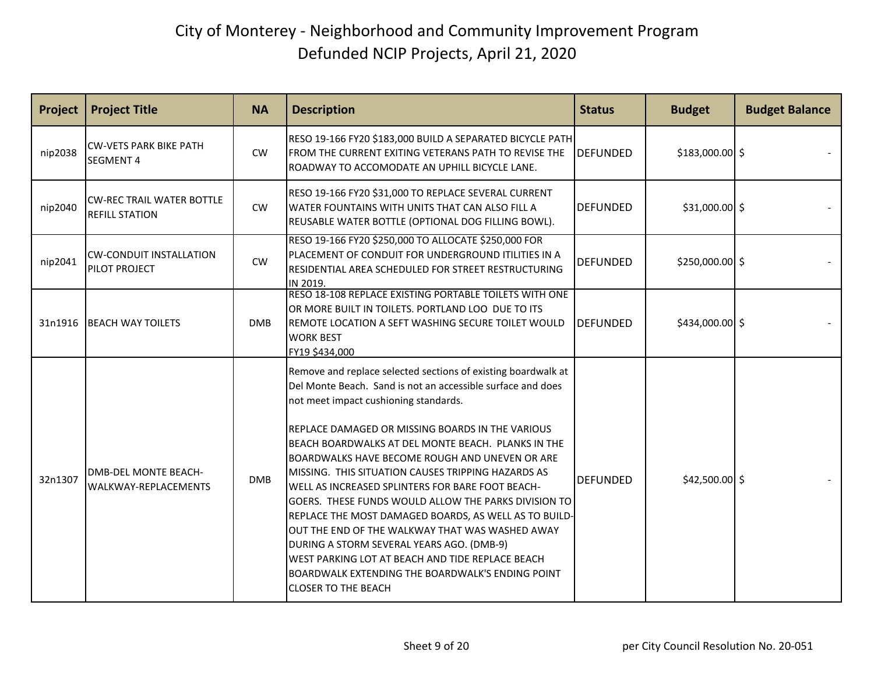| Project | <b>Project Title</b>                                       | <b>NA</b>  | <b>Description</b>                                                                                                                                                                                                                                                                                                                                                                                                                                                                                                                                                                                                                                                                                                                                                                                 | <b>Status</b>   | <b>Budget</b>    | <b>Budget Balance</b> |
|---------|------------------------------------------------------------|------------|----------------------------------------------------------------------------------------------------------------------------------------------------------------------------------------------------------------------------------------------------------------------------------------------------------------------------------------------------------------------------------------------------------------------------------------------------------------------------------------------------------------------------------------------------------------------------------------------------------------------------------------------------------------------------------------------------------------------------------------------------------------------------------------------------|-----------------|------------------|-----------------------|
| nip2038 | <b>CW-VETS PARK BIKE PATH</b><br><b>SEGMENT 4</b>          | <b>CW</b>  | RESO 19-166 FY20 \$183,000 BUILD A SEPARATED BICYCLE PATH<br>FROM THE CURRENT EXITING VETERANS PATH TO REVISE THE<br>ROADWAY TO ACCOMODATE AN UPHILL BICYCLE LANE.                                                                                                                                                                                                                                                                                                                                                                                                                                                                                                                                                                                                                                 | DEFUNDED        | $$183,000.00$ \$ |                       |
| nip2040 | <b>ICW-REC TRAIL WATER BOTTLE</b><br><b>REFILL STATION</b> | CW         | RESO 19-166 FY20 \$31,000 TO REPLACE SEVERAL CURRENT<br>WATER FOUNTAINS WITH UNITS THAT CAN ALSO FILL A<br>REUSABLE WATER BOTTLE (OPTIONAL DOG FILLING BOWL).                                                                                                                                                                                                                                                                                                                                                                                                                                                                                                                                                                                                                                      | <b>DEFUNDED</b> | $$31,000.00$ \$  |                       |
| nip2041 | <b>CW-CONDUIT INSTALLATION</b><br>PILOT PROJECT            | <b>CW</b>  | RESO 19-166 FY20 \$250,000 TO ALLOCATE \$250,000 FOR<br>PLACEMENT OF CONDUIT FOR UNDERGROUND ITILITIES IN A<br>RESIDENTIAL AREA SCHEDULED FOR STREET RESTRUCTURING<br>IN 2019.                                                                                                                                                                                                                                                                                                                                                                                                                                                                                                                                                                                                                     | <b>DEFUNDED</b> | $$250,000.00$ \$ |                       |
| 31n1916 | <b>BEACH WAY TOILETS</b>                                   | <b>DMB</b> | RESO 18-108 REPLACE EXISTING PORTABLE TOILETS WITH ONE<br>OR MORE BUILT IN TOILETS. PORTLAND LOO DUE TO ITS<br>REMOTE LOCATION A SEFT WASHING SECURE TOILET WOULD<br><b>WORK BEST</b><br>FY19 \$434,000                                                                                                                                                                                                                                                                                                                                                                                                                                                                                                                                                                                            | <b>DEFUNDED</b> | $$434,000.00$ \$ |                       |
| 32n1307 | <b>DMB-DEL MONTE BEACH-</b><br>WALKWAY-REPLACEMENTS        | <b>DMB</b> | Remove and replace selected sections of existing boardwalk at<br>Del Monte Beach. Sand is not an accessible surface and does<br>not meet impact cushioning standards.<br>REPLACE DAMAGED OR MISSING BOARDS IN THE VARIOUS<br>BEACH BOARDWALKS AT DEL MONTE BEACH. PLANKS IN THE<br>BOARDWALKS HAVE BECOME ROUGH AND UNEVEN OR ARE<br>MISSING. THIS SITUATION CAUSES TRIPPING HAZARDS AS<br>WELL AS INCREASED SPLINTERS FOR BARE FOOT BEACH-<br>GOERS. THESE FUNDS WOULD ALLOW THE PARKS DIVISION TO<br>REPLACE THE MOST DAMAGED BOARDS, AS WELL AS TO BUILD-<br>OUT THE END OF THE WALKWAY THAT WAS WASHED AWAY<br>DURING A STORM SEVERAL YEARS AGO. (DMB-9)<br>WEST PARKING LOT AT BEACH AND TIDE REPLACE BEACH<br>BOARDWALK EXTENDING THE BOARDWALK'S ENDING POINT<br><b>CLOSER TO THE BEACH</b> | <b>DEFUNDED</b> | $$42,500.00$ \$  |                       |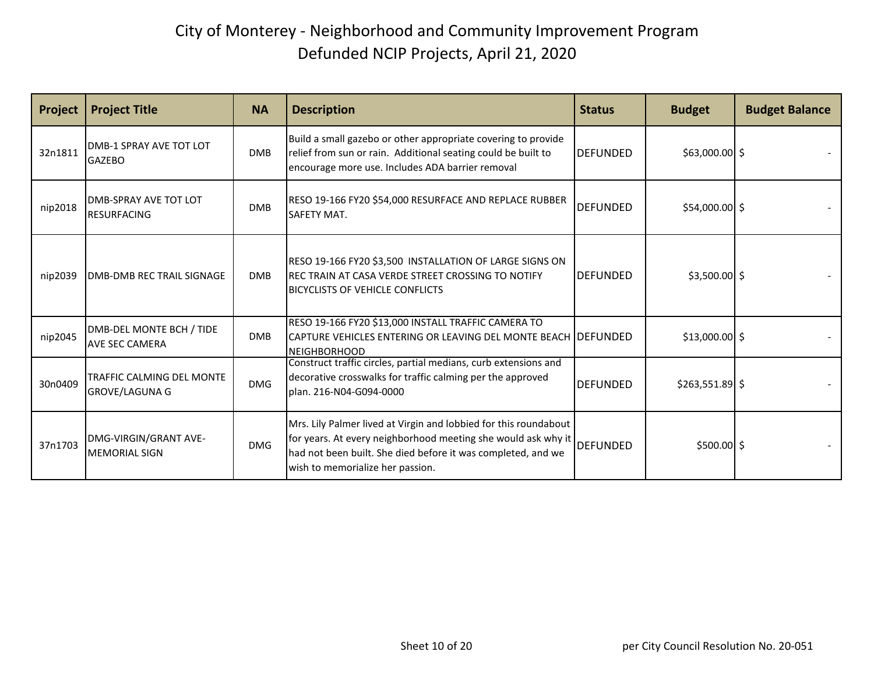| Project | <b>Project Title</b>                                | <b>NA</b>  | <b>Description</b>                                                                                                                                                                                                                             | <b>Status</b>   | <b>Budget</b>    | <b>Budget Balance</b> |
|---------|-----------------------------------------------------|------------|------------------------------------------------------------------------------------------------------------------------------------------------------------------------------------------------------------------------------------------------|-----------------|------------------|-----------------------|
| 32n1811 | <b>DMB-1 SPRAY AVE TOT LOT</b><br><b>GAZEBO</b>     | <b>DMB</b> | Build a small gazebo or other appropriate covering to provide<br>relief from sun or rain. Additional seating could be built to<br>encourage more use. Includes ADA barrier removal                                                             | <b>DEFUNDED</b> | $$63,000.00$ \$  |                       |
| nip2018 | <b>IDMB-SPRAY AVE TOT LOT</b><br><b>RESURFACING</b> | <b>DMB</b> | RESO 19-166 FY20 \$54,000 RESURFACE AND REPLACE RUBBER<br>SAFETY MAT.                                                                                                                                                                          | <b>DEFUNDED</b> | $$54,000.00$ \$  |                       |
| nip2039 | <b>DMB-DMB REC TRAIL SIGNAGE</b>                    | <b>DMB</b> | RESO 19-166 FY20 \$3,500 INSTALLATION OF LARGE SIGNS ON<br>REC TRAIN AT CASA VERDE STREET CROSSING TO NOTIFY<br><b>BICYCLISTS OF VEHICLE CONFLICTS</b>                                                                                         | <b>DEFUNDED</b> | $$3,500.00$ \$   |                       |
| nip2045 | DMB-DEL MONTE BCH / TIDE<br><b>AVE SEC CAMERA</b>   | <b>DMB</b> | RESO 19-166 FY20 \$13,000 INSTALL TRAFFIC CAMERA TO<br>CAPTURE VEHICLES ENTERING OR LEAVING DEL MONTE BEACH IDEFUNDED<br><b>NEIGHBORHOOD</b>                                                                                                   |                 | $$13,000.00$ \$  |                       |
| 30n0409 | TRAFFIC CALMING DEL MONTE<br><b>GROVE/LAGUNA G</b>  | <b>DMG</b> | Construct traffic circles, partial medians, curb extensions and<br>decorative crosswalks for traffic calming per the approved<br>plan. 216-N04-G094-0000                                                                                       | <b>DEFUNDED</b> | $$263,551.89$ \$ |                       |
| 37n1703 | DMG-VIRGIN/GRANT AVE-<br><b>MEMORIAL SIGN</b>       | <b>DMG</b> | Mrs. Lily Palmer lived at Virgin and lobbied for this roundabout<br>for years. At every neighborhood meeting she would ask why it DEFUNDED<br>had not been built. She died before it was completed, and we<br>wish to memorialize her passion. |                 | $$500.00$ \$     |                       |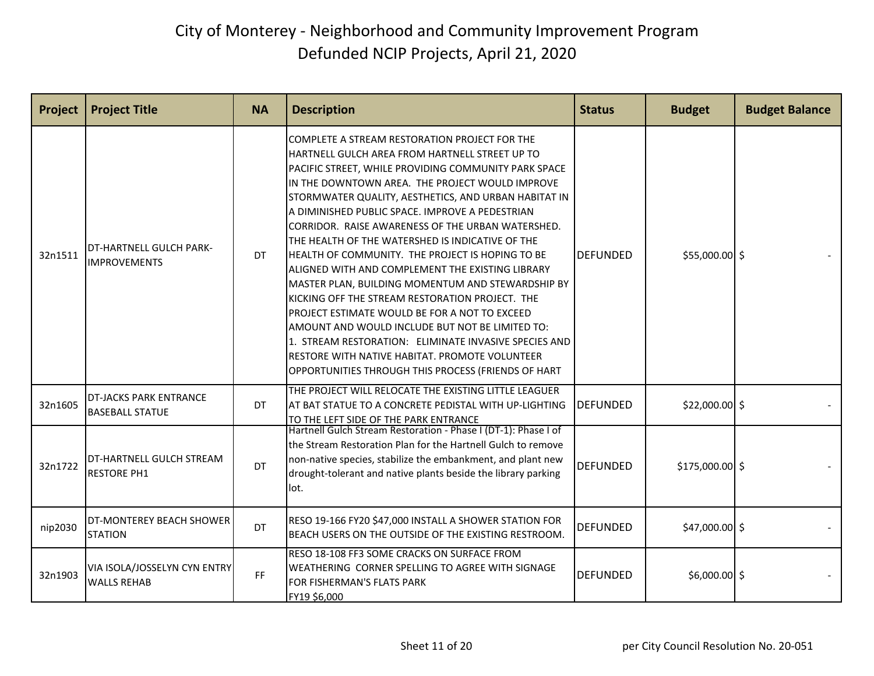| Project | <b>Project Title</b>                                    | <b>NA</b> | <b>Description</b>                                                                                                                                                                                                                                                                                                                                                                                                                                                                                                                                                                                                                                                                                                                                                                                                                                                                                                   | <b>Status</b>   | <b>Budget</b>    | <b>Budget Balance</b> |
|---------|---------------------------------------------------------|-----------|----------------------------------------------------------------------------------------------------------------------------------------------------------------------------------------------------------------------------------------------------------------------------------------------------------------------------------------------------------------------------------------------------------------------------------------------------------------------------------------------------------------------------------------------------------------------------------------------------------------------------------------------------------------------------------------------------------------------------------------------------------------------------------------------------------------------------------------------------------------------------------------------------------------------|-----------------|------------------|-----------------------|
| 32n1511 | DT-HARTNELL GULCH PARK-<br><b>IMPROVEMENTS</b>          | DT        | COMPLETE A STREAM RESTORATION PROJECT FOR THE<br>HARTNELL GULCH AREA FROM HARTNELL STREET UP TO<br>PACIFIC STREET, WHILE PROVIDING COMMUNITY PARK SPACE<br>IN THE DOWNTOWN AREA. THE PROJECT WOULD IMPROVE<br>STORMWATER QUALITY, AESTHETICS, AND URBAN HABITAT IN<br>A DIMINISHED PUBLIC SPACE. IMPROVE A PEDESTRIAN<br>CORRIDOR. RAISE AWARENESS OF THE URBAN WATERSHED.<br>THE HEALTH OF THE WATERSHED IS INDICATIVE OF THE<br>HEALTH OF COMMUNITY. THE PROJECT IS HOPING TO BE<br>ALIGNED WITH AND COMPLEMENT THE EXISTING LIBRARY<br>MASTER PLAN, BUILDING MOMENTUM AND STEWARDSHIP BY<br>KICKING OFF THE STREAM RESTORATION PROJECT. THE<br>PROJECT ESTIMATE WOULD BE FOR A NOT TO EXCEED<br>AMOUNT AND WOULD INCLUDE BUT NOT BE LIMITED TO:<br>1. STREAM RESTORATION: ELIMINATE INVASIVE SPECIES AND<br>RESTORE WITH NATIVE HABITAT. PROMOTE VOLUNTEER<br>OPPORTUNITIES THROUGH THIS PROCESS (FRIENDS OF HART | <b>DEFUNDED</b> | $$55,000.00$ \$  |                       |
| 32n1605 | <b>DT-JACKS PARK ENTRANCE</b><br><b>BASEBALL STATUE</b> | DT        | THE PROJECT WILL RELOCATE THE EXISTING LITTLE LEAGUER<br>AT BAT STATUE TO A CONCRETE PEDISTAL WITH UP-LIGHTING<br>TO THE LEFT SIDE OF THE PARK ENTRANCE                                                                                                                                                                                                                                                                                                                                                                                                                                                                                                                                                                                                                                                                                                                                                              | <b>DEFUNDED</b> | $$22,000.00$ \$  |                       |
| 32n1722 | DT-HARTNELL GULCH STREAM<br><b>RESTORE PH1</b>          | DT        | Hartnell Gulch Stream Restoration - Phase I (DT-1): Phase I of<br>the Stream Restoration Plan for the Hartnell Gulch to remove<br>non-native species, stabilize the embankment, and plant new<br>drought-tolerant and native plants beside the library parking<br>lot.                                                                                                                                                                                                                                                                                                                                                                                                                                                                                                                                                                                                                                               | <b>DEFUNDED</b> | $$175,000.00$ \$ |                       |
| nip2030 | DT-MONTEREY BEACH SHOWER<br><b>STATION</b>              | DT        | RESO 19-166 FY20 \$47,000 INSTALL A SHOWER STATION FOR<br>BEACH USERS ON THE OUTSIDE OF THE EXISTING RESTROOM.                                                                                                                                                                                                                                                                                                                                                                                                                                                                                                                                                                                                                                                                                                                                                                                                       | <b>DEFUNDED</b> | $$47,000.00$ \$  |                       |
| 32n1903 | VIA ISOLA/JOSSELYN CYN ENTRY<br><b>WALLS REHAB</b>      | FF.       | RESO 18-108 FF3 SOME CRACKS ON SURFACE FROM<br>WEATHERING CORNER SPELLING TO AGREE WITH SIGNAGE<br>FOR FISHERMAN'S FLATS PARK<br>FY19 \$6,000                                                                                                                                                                                                                                                                                                                                                                                                                                                                                                                                                                                                                                                                                                                                                                        | <b>DEFUNDED</b> | $$6,000.00$ \$   |                       |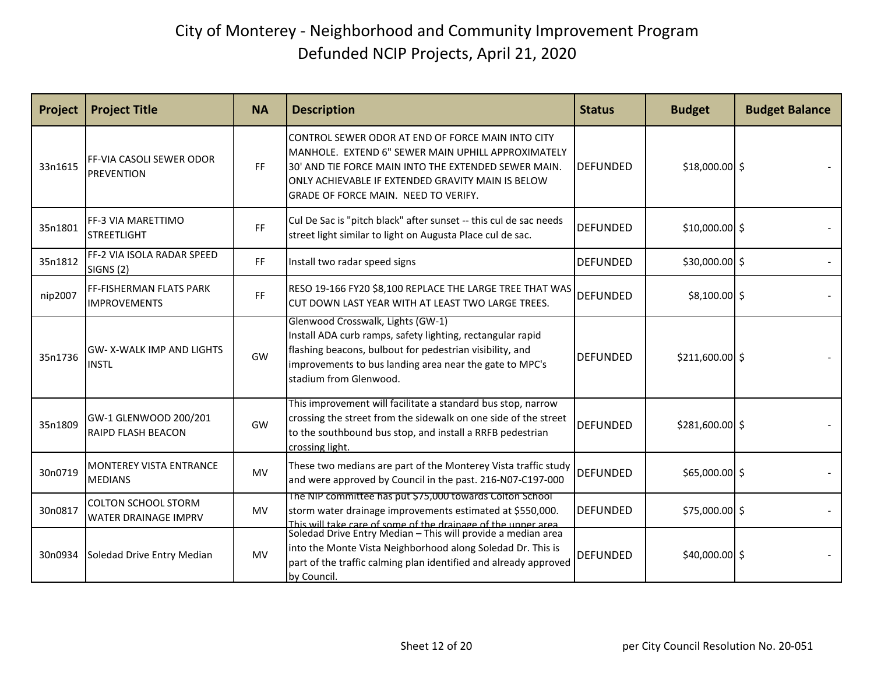| Project | <b>Project Title</b>                                      | <b>NA</b> | <b>Description</b>                                                                                                                                                                                                                                                              | <b>Status</b>    | <b>Budget</b>    | <b>Budget Balance</b> |
|---------|-----------------------------------------------------------|-----------|---------------------------------------------------------------------------------------------------------------------------------------------------------------------------------------------------------------------------------------------------------------------------------|------------------|------------------|-----------------------|
| 33n1615 | FF-VIA CASOLI SEWER ODOR<br><b>PREVENTION</b>             | <b>FF</b> | CONTROL SEWER ODOR AT END OF FORCE MAIN INTO CITY<br>MANHOLE. EXTEND 6" SEWER MAIN UPHILL APPROXIMATELY<br>30' AND TIE FORCE MAIN INTO THE EXTENDED SEWER MAIN.<br>ONLY ACHIEVABLE IF EXTENDED GRAVITY MAIN IS BELOW<br>GRADE OF FORCE MAIN. NEED TO VERIFY.                    | <b>IDEFUNDED</b> | $$18,000.00$ \$  |                       |
| 35n1801 | <b>FF-3 VIA MARETTIMO</b><br><b>STREETLIGHT</b>           | FF        | Cul De Sac is "pitch black" after sunset -- this cul de sac needs<br>street light similar to light on Augusta Place cul de sac.                                                                                                                                                 | <b>DEFUNDED</b>  | $$10,000.00$ \$  |                       |
| 35n1812 | FF-2 VIA ISOLA RADAR SPEED<br><b>SIGNS (2)</b>            | FF        | Install two radar speed signs                                                                                                                                                                                                                                                   | <b>DEFUNDED</b>  | \$30,000.00 \$   |                       |
| nip2007 | <b>FF-FISHERMAN FLATS PARK</b><br><b>IMPROVEMENTS</b>     | FF        | RESO 19-166 FY20 \$8,100 REPLACE THE LARGE TREE THAT WAS<br>CUT DOWN LAST YEAR WITH AT LEAST TWO LARGE TREES.                                                                                                                                                                   | DEFUNDED         | $$8,100.00$ \$   |                       |
| 35n1736 | <b>GW-X-WALK IMP AND LIGHTS</b><br><b>INSTL</b>           | GW        | Glenwood Crosswalk, Lights (GW-1)<br>Install ADA curb ramps, safety lighting, rectangular rapid<br>flashing beacons, bulbout for pedestrian visibility, and<br>improvements to bus landing area near the gate to MPC's<br>stadium from Glenwood.                                | <b>DEFUNDED</b>  | $$211,600.00$ \$ |                       |
| 35n1809 | GW-1 GLENWOOD 200/201<br><b>RAIPD FLASH BEACON</b>        | GW        | This improvement will facilitate a standard bus stop, narrow<br>crossing the street from the sidewalk on one side of the street<br>to the southbound bus stop, and install a RRFB pedestrian<br>crossing light.                                                                 | <b>DEFUNDED</b>  | \$281,600.00 \$  |                       |
| 30n0719 | MONTEREY VISTA ENTRANCE<br><b>MEDIANS</b>                 | <b>MV</b> | These two medians are part of the Monterey Vista traffic study<br>and were approved by Council in the past. 216-N07-C197-000                                                                                                                                                    | <b>DEFUNDED</b>  | $$65,000.00$ \$  |                       |
| 30n0817 | <b>COLTON SCHOOL STORM</b><br><b>WATER DRAINAGE IMPRV</b> | <b>MV</b> | The NIP committee has put \$75,000 towards Colton School<br>storm water drainage improvements estimated at \$550,000.                                                                                                                                                           | <b>DEFUNDED</b>  | \$75,000.00 \$   |                       |
| 30n0934 | Soledad Drive Entry Median                                | <b>MV</b> | This will take care of some of the drainage of the unner area<br>Soledad Drive Entry Median – This will provide a median area<br>into the Monte Vista Neighborhood along Soledad Dr. This is<br>part of the traffic calming plan identified and already approved<br>by Council. | <b>DEFUNDED</b>  | $$40,000.00$ \$  |                       |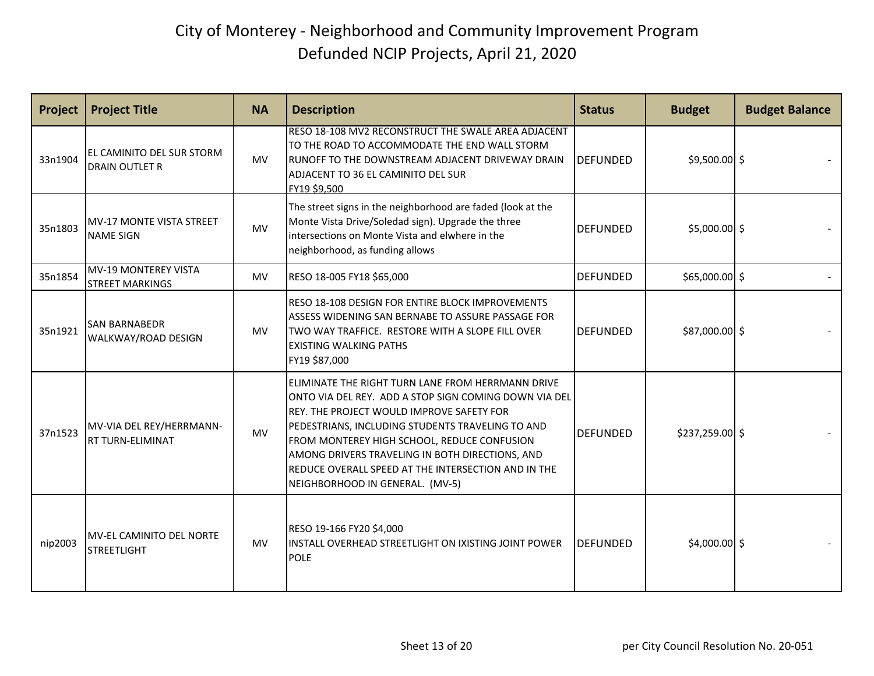| Project | <b>Project Title</b>                                | <b>NA</b> | <b>Description</b>                                                                                                                                                                                                                                                                                                                                                                                      | <b>Status</b>   | <b>Budget</b>    | <b>Budget Balance</b> |
|---------|-----------------------------------------------------|-----------|---------------------------------------------------------------------------------------------------------------------------------------------------------------------------------------------------------------------------------------------------------------------------------------------------------------------------------------------------------------------------------------------------------|-----------------|------------------|-----------------------|
| 33n1904 | EL CAMINITO DEL SUR STORM<br><b>DRAIN OUTLET R</b>  | <b>MV</b> | RESO 18-108 MV2 RECONSTRUCT THE SWALE AREA ADJACENT<br>TO THE ROAD TO ACCOMMODATE THE END WALL STORM<br>RUNOFF TO THE DOWNSTREAM ADJACENT DRIVEWAY DRAIN<br>ADJACENT TO 36 EL CAMINITO DEL SUR<br>FY19 \$9,500                                                                                                                                                                                          | <b>DEFUNDED</b> | $$9,500.00$ \$   |                       |
| 35n1803 | <b>MV-17 MONTE VISTA STREET</b><br><b>NAME SIGN</b> | <b>MV</b> | The street signs in the neighborhood are faded (look at the<br>Monte Vista Drive/Soledad sign). Upgrade the three<br>intersections on Monte Vista and elwhere in the<br>neighborhood, as funding allows                                                                                                                                                                                                 | <b>DEFUNDED</b> | $$5,000.00$ \$   |                       |
| 35n1854 | MV-19 MONTEREY VISTA<br><b>STREET MARKINGS</b>      | <b>MV</b> | RESO 18-005 FY18 \$65,000                                                                                                                                                                                                                                                                                                                                                                               | <b>DEFUNDED</b> | $$65,000.00$ \$  |                       |
| 35n1921 | <b>SAN BARNABEDR</b><br>WALKWAY/ROAD DESIGN         | MV.       | <b>RESO 18-108 DESIGN FOR ENTIRE BLOCK IMPROVEMENTS</b><br>ASSESS WIDENING SAN BERNABE TO ASSURE PASSAGE FOR<br>TWO WAY TRAFFICE. RESTORE WITH A SLOPE FILL OVER<br><b>EXISTING WALKING PATHS</b><br>FY19 \$87,000                                                                                                                                                                                      | <b>DEFUNDED</b> | \$87,000.00 \$   |                       |
| 37n1523 | MV-VIA DEL REY/HERRMANN-<br>RT TURN-ELIMINAT        | <b>MV</b> | ELIMINATE THE RIGHT TURN LANE FROM HERRMANN DRIVE<br>ONTO VIA DEL REY. ADD A STOP SIGN COMING DOWN VIA DEL<br>REY. THE PROJECT WOULD IMPROVE SAFETY FOR<br>PEDESTRIANS, INCLUDING STUDENTS TRAVELING TO AND<br>FROM MONTEREY HIGH SCHOOL, REDUCE CONFUSION<br>AMONG DRIVERS TRAVELING IN BOTH DIRECTIONS, AND<br>REDUCE OVERALL SPEED AT THE INTERSECTION AND IN THE<br>NEIGHBORHOOD IN GENERAL. (MV-5) | <b>DEFUNDED</b> | $$237,259.00$ \$ |                       |
| nip2003 | MV-EL CAMINITO DEL NORTE<br><b>STREETLIGHT</b>      | <b>MV</b> | RESO 19-166 FY20 \$4,000<br>INSTALL OVERHEAD STREETLIGHT ON IXISTING JOINT POWER<br><b>POLE</b>                                                                                                                                                                                                                                                                                                         | <b>DEFUNDED</b> | $$4,000.00$ \$   |                       |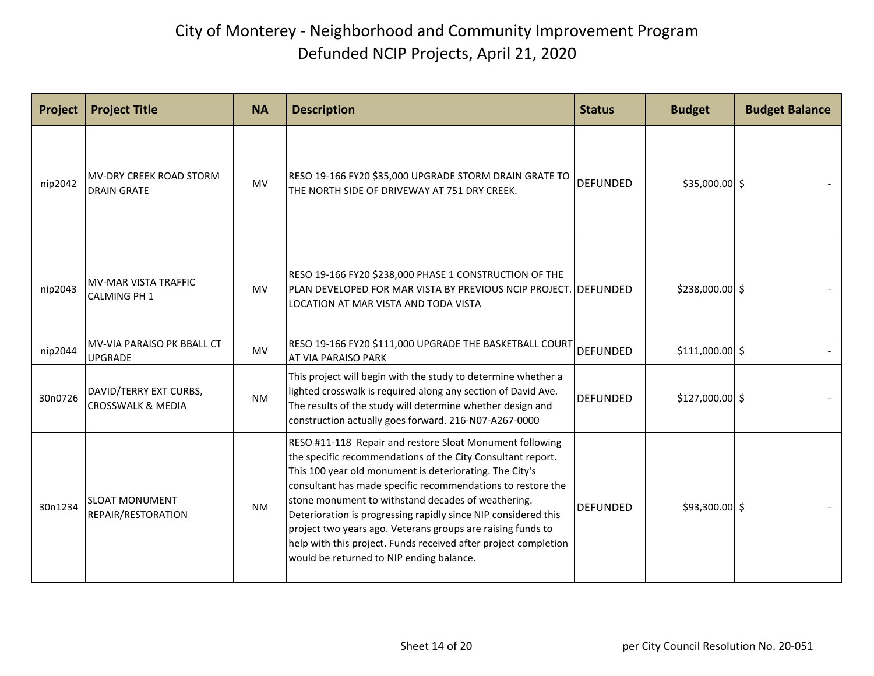| Project | <b>Project Title</b>                                   | <b>NA</b> | <b>Description</b>                                                                                                                                                                                                                                                                                                                                                                                                                                                                                                                                      | <b>Status</b>   | <b>Budget</b>    | <b>Budget Balance</b> |
|---------|--------------------------------------------------------|-----------|---------------------------------------------------------------------------------------------------------------------------------------------------------------------------------------------------------------------------------------------------------------------------------------------------------------------------------------------------------------------------------------------------------------------------------------------------------------------------------------------------------------------------------------------------------|-----------------|------------------|-----------------------|
| nip2042 | IMV-DRY CREEK ROAD STORM<br><b>DRAIN GRATE</b>         | <b>MV</b> | RESO 19-166 FY20 \$35,000 UPGRADE STORM DRAIN GRATE TO<br>THE NORTH SIDE OF DRIVEWAY AT 751 DRY CREEK.                                                                                                                                                                                                                                                                                                                                                                                                                                                  | <b>DEFUNDED</b> | \$35,000.00 \$   |                       |
| nip2043 | <b>MV-MAR VISTA TRAFFIC</b><br><b>CALMING PH 1</b>     | <b>MV</b> | RESO 19-166 FY20 \$238,000 PHASE 1 CONSTRUCTION OF THE<br>PLAN DEVELOPED FOR MAR VISTA BY PREVIOUS NCIP PROJECT. DEFUNDED<br>LOCATION AT MAR VISTA AND TODA VISTA                                                                                                                                                                                                                                                                                                                                                                                       |                 | $$238,000.00$ \$ |                       |
| nip2044 | MV-VIA PARAISO PK BBALL CT<br><b>UPGRADE</b>           | <b>MV</b> | RESO 19-166 FY20 \$111,000 UPGRADE THE BASKETBALL COURT<br>AT VIA PARAISO PARK                                                                                                                                                                                                                                                                                                                                                                                                                                                                          | <b>DEFUNDED</b> | $$111,000.00$ \$ |                       |
| 30n0726 | DAVID/TERRY EXT CURBS,<br><b>CROSSWALK &amp; MEDIA</b> | <b>NM</b> | This project will begin with the study to determine whether a<br>lighted crosswalk is required along any section of David Ave.<br>The results of the study will determine whether design and<br>construction actually goes forward. 216-N07-A267-0000                                                                                                                                                                                                                                                                                                   | <b>DEFUNDED</b> | $$127,000.00$ \$ |                       |
| 30n1234 | <b>SLOAT MONUMENT</b><br>REPAIR/RESTORATION            | <b>NM</b> | RESO #11-118 Repair and restore Sloat Monument following<br>the specific recommendations of the City Consultant report.<br>This 100 year old monument is deteriorating. The City's<br>consultant has made specific recommendations to restore the<br>stone monument to withstand decades of weathering.<br>Deterioration is progressing rapidly since NIP considered this<br>project two years ago. Veterans groups are raising funds to<br>help with this project. Funds received after project completion<br>would be returned to NIP ending balance. | <b>DEFUNDED</b> | $$93,300.00$ \$  |                       |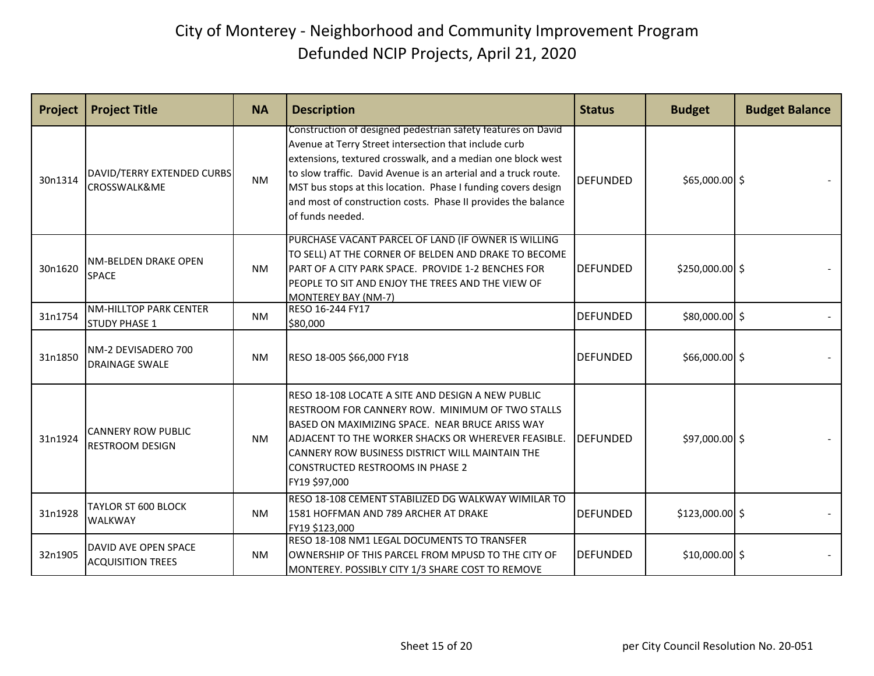| Project | <b>Project Title</b>                                  | <b>NA</b> | <b>Description</b>                                                                                                                                                                                                                                                                                                                                                                                            | <b>Status</b>    | <b>Budget</b>    | <b>Budget Balance</b> |
|---------|-------------------------------------------------------|-----------|---------------------------------------------------------------------------------------------------------------------------------------------------------------------------------------------------------------------------------------------------------------------------------------------------------------------------------------------------------------------------------------------------------------|------------------|------------------|-----------------------|
| 30n1314 | DAVID/TERRY EXTENDED CURBS<br>CROSSWALK&ME            | <b>NM</b> | Construction of designed pedestrian safety features on David<br>Avenue at Terry Street intersection that include curb<br>extensions, textured crosswalk, and a median one block west<br>to slow traffic. David Avenue is an arterial and a truck route.<br>MST bus stops at this location. Phase I funding covers design<br>and most of construction costs. Phase II provides the balance<br>of funds needed. | <b>DEFUNDED</b>  | \$65,000.00 \$   |                       |
| 30n1620 | NM-BELDEN DRAKE OPEN<br><b>SPACE</b>                  | <b>NM</b> | PURCHASE VACANT PARCEL OF LAND (IF OWNER IS WILLING<br>TO SELL) AT THE CORNER OF BELDEN AND DRAKE TO BECOME<br>PART OF A CITY PARK SPACE. PROVIDE 1-2 BENCHES FOR<br>PEOPLE TO SIT AND ENJOY THE TREES AND THE VIEW OF<br>MONTEREY BAY (NM-7)                                                                                                                                                                 | <b>IDEFUNDED</b> | $$250,000.00$ \$ |                       |
| 31n1754 | <b>NM-HILLTOP PARK CENTER</b><br><b>STUDY PHASE 1</b> | <b>NM</b> | RESO 16-244 FY17<br>\$80,000                                                                                                                                                                                                                                                                                                                                                                                  | <b>DEFUNDED</b>  | \$80,000.00 \$   |                       |
| 31n1850 | INM-2 DEVISADERO 700<br><b>DRAINAGE SWALE</b>         | <b>NM</b> | RESO 18-005 \$66,000 FY18                                                                                                                                                                                                                                                                                                                                                                                     | <b>DEFUNDED</b>  | $$66,000.00$ \$  |                       |
| 31n1924 | <b>CANNERY ROW PUBLIC</b><br><b>RESTROOM DESIGN</b>   | <b>NM</b> | RESO 18-108 LOCATE A SITE AND DESIGN A NEW PUBLIC<br>RESTROOM FOR CANNERY ROW. MINIMUM OF TWO STALLS<br>BASED ON MAXIMIZING SPACE. NEAR BRUCE ARISS WAY<br>ADJACENT TO THE WORKER SHACKS OR WHEREVER FEASIBLE.<br>CANNERY ROW BUSINESS DISTRICT WILL MAINTAIN THE<br><b>CONSTRUCTED RESTROOMS IN PHASE 2</b><br>FY19 \$97,000                                                                                 | <b>DEFUNDED</b>  | \$97,000.00 \$   |                       |
| 31n1928 | TAYLOR ST 600 BLOCK<br><b>WALKWAY</b>                 | <b>NM</b> | RESO 18-108 CEMENT STABILIZED DG WALKWAY WIMILAR TO<br>1581 HOFFMAN AND 789 ARCHER AT DRAKE<br>FY19 \$123,000                                                                                                                                                                                                                                                                                                 | <b>DEFUNDED</b>  | $$123,000.00$ \$ |                       |
| 32n1905 | DAVID AVE OPEN SPACE<br><b>ACQUISITION TREES</b>      | <b>NM</b> | RESO 18-108 NM1 LEGAL DOCUMENTS TO TRANSFER<br>OWNERSHIP OF THIS PARCEL FROM MPUSD TO THE CITY OF<br>MONTEREY. POSSIBLY CITY 1/3 SHARE COST TO REMOVE                                                                                                                                                                                                                                                         | <b>DEFUNDED</b>  | $$10,000.00$ \$  |                       |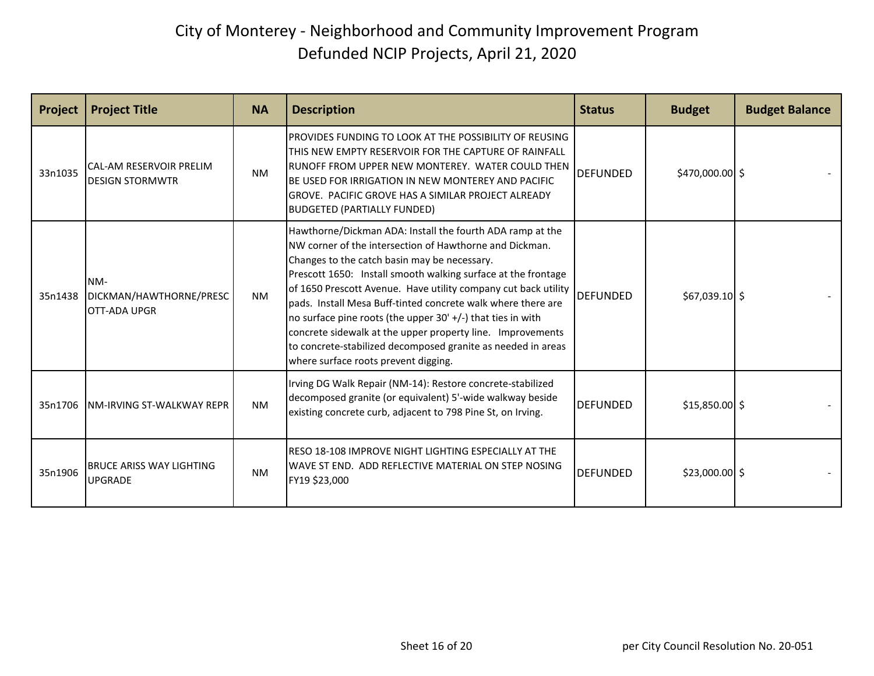| <b>Project</b> | <b>Project Title</b>                                     | <b>NA</b> | <b>Description</b>                                                                                                                                                                                                                                                                                                                                                                                                                                                                                                                                                                                             | <b>Status</b>   | <b>Budget</b>    | <b>Budget Balance</b> |
|----------------|----------------------------------------------------------|-----------|----------------------------------------------------------------------------------------------------------------------------------------------------------------------------------------------------------------------------------------------------------------------------------------------------------------------------------------------------------------------------------------------------------------------------------------------------------------------------------------------------------------------------------------------------------------------------------------------------------------|-----------------|------------------|-----------------------|
| 33n1035        | <b>CAL-AM RESERVOIR PRELIM</b><br><b>DESIGN STORMWTR</b> | <b>NM</b> | PROVIDES FUNDING TO LOOK AT THE POSSIBILITY OF REUSING<br>THIS NEW EMPTY RESERVOIR FOR THE CAPTURE OF RAINFALL<br>RUNOFF FROM UPPER NEW MONTEREY. WATER COULD THEN<br>BE USED FOR IRRIGATION IN NEW MONTEREY AND PACIFIC<br>GROVE. PACIFIC GROVE HAS A SIMILAR PROJECT ALREADY<br><b>BUDGETED (PARTIALLY FUNDED)</b>                                                                                                                                                                                                                                                                                           | <b>DEFUNDED</b> | $$470,000.00$ \$ |                       |
| 35n1438        | NM-<br>DICKMAN/HAWTHORNE/PRESC<br><b>IOTT-ADA UPGR</b>   | <b>NM</b> | Hawthorne/Dickman ADA: Install the fourth ADA ramp at the<br>NW corner of the intersection of Hawthorne and Dickman.<br>Changes to the catch basin may be necessary.<br>Prescott 1650: Install smooth walking surface at the frontage<br>of 1650 Prescott Avenue. Have utility company cut back utility<br>pads. Install Mesa Buff-tinted concrete walk where there are<br>no surface pine roots (the upper $30'$ +/-) that ties in with<br>concrete sidewalk at the upper property line. Improvements<br>to concrete-stabilized decomposed granite as needed in areas<br>where surface roots prevent digging. | <b>DEFUNDED</b> | $$67,039.10$ \$  |                       |
| 35n1706        | <b>NM-IRVING ST-WALKWAY REPR</b>                         | <b>NM</b> | Irving DG Walk Repair (NM-14): Restore concrete-stabilized<br>decomposed granite (or equivalent) 5'-wide walkway beside<br>existing concrete curb, adjacent to 798 Pine St, on Irving.                                                                                                                                                                                                                                                                                                                                                                                                                         | <b>DEFUNDED</b> | $$15,850.00$ \$  |                       |
| 35n1906        | <b>BRUCE ARISS WAY LIGHTING</b><br><b>UPGRADE</b>        | <b>NM</b> | RESO 18-108 IMPROVE NIGHT LIGHTING ESPECIALLY AT THE<br>WAVE ST END. ADD REFLECTIVE MATERIAL ON STEP NOSING<br>FY19 \$23,000                                                                                                                                                                                                                                                                                                                                                                                                                                                                                   | <b>DEFUNDED</b> | $$23,000.00$ \$  |                       |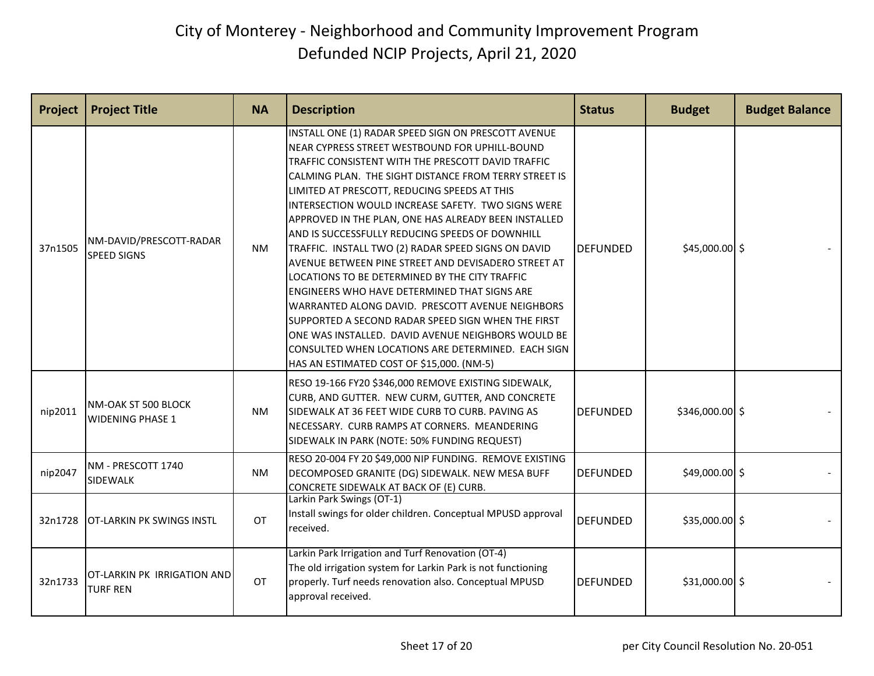| Project | <b>Project Title</b>                           | <b>NA</b> | <b>Description</b>                                                                                                                                                                                                                                                                                                                                                                                                                                                                                                                                                                                                                                                                                                                                                                                                                                                                                                              | <b>Status</b>   | <b>Budget</b>    | <b>Budget Balance</b> |
|---------|------------------------------------------------|-----------|---------------------------------------------------------------------------------------------------------------------------------------------------------------------------------------------------------------------------------------------------------------------------------------------------------------------------------------------------------------------------------------------------------------------------------------------------------------------------------------------------------------------------------------------------------------------------------------------------------------------------------------------------------------------------------------------------------------------------------------------------------------------------------------------------------------------------------------------------------------------------------------------------------------------------------|-----------------|------------------|-----------------------|
| 37n1505 | NM-DAVID/PRESCOTT-RADAR<br><b>SPEED SIGNS</b>  | NM.       | INSTALL ONE (1) RADAR SPEED SIGN ON PRESCOTT AVENUE<br>NEAR CYPRESS STREET WESTBOUND FOR UPHILL-BOUND<br>TRAFFIC CONSISTENT WITH THE PRESCOTT DAVID TRAFFIC<br>CALMING PLAN. THE SIGHT DISTANCE FROM TERRY STREET IS<br>LIMITED AT PRESCOTT, REDUCING SPEEDS AT THIS<br>INTERSECTION WOULD INCREASE SAFETY. TWO SIGNS WERE<br>APPROVED IN THE PLAN, ONE HAS ALREADY BEEN INSTALLED<br>AND IS SUCCESSFULLY REDUCING SPEEDS OF DOWNHILL<br>TRAFFIC. INSTALL TWO (2) RADAR SPEED SIGNS ON DAVID<br>AVENUE BETWEEN PINE STREET AND DEVISADERO STREET AT<br>LOCATIONS TO BE DETERMINED BY THE CITY TRAFFIC<br><b>ENGINEERS WHO HAVE DETERMINED THAT SIGNS ARE</b><br>WARRANTED ALONG DAVID. PRESCOTT AVENUE NEIGHBORS<br>SUPPORTED A SECOND RADAR SPEED SIGN WHEN THE FIRST<br>ONE WAS INSTALLED. DAVID AVENUE NEIGHBORS WOULD BE<br>CONSULTED WHEN LOCATIONS ARE DETERMINED. EACH SIGN<br>HAS AN ESTIMATED COST OF \$15,000. (NM-5) | <b>DEFUNDED</b> | $$45,000.00$ \$  |                       |
| nip2011 | NM-OAK ST 500 BLOCK<br><b>WIDENING PHASE 1</b> | <b>NM</b> | RESO 19-166 FY20 \$346,000 REMOVE EXISTING SIDEWALK,<br>CURB, AND GUTTER. NEW CURM, GUTTER, AND CONCRETE<br>SIDEWALK AT 36 FEET WIDE CURB TO CURB. PAVING AS<br>NECESSARY. CURB RAMPS AT CORNERS. MEANDERING<br>SIDEWALK IN PARK (NOTE: 50% FUNDING REQUEST)                                                                                                                                                                                                                                                                                                                                                                                                                                                                                                                                                                                                                                                                    | <b>DEFUNDED</b> | $$346,000.00$ \$ |                       |
| nip2047 | NM - PRESCOTT 1740<br>SIDEWALK                 | <b>NM</b> | RESO 20-004 FY 20 \$49,000 NIP FUNDING. REMOVE EXISTING<br>DECOMPOSED GRANITE (DG) SIDEWALK. NEW MESA BUFF<br>CONCRETE SIDEWALK AT BACK OF (E) CURB.                                                                                                                                                                                                                                                                                                                                                                                                                                                                                                                                                                                                                                                                                                                                                                            | <b>DEFUNDED</b> | $$49,000.00$ \$  |                       |
| 32n1728 | <b>OT-LARKIN PK SWINGS INSTL</b>               | <b>OT</b> | Larkin Park Swings (OT-1)<br>Install swings for older children. Conceptual MPUSD approval<br>received.                                                                                                                                                                                                                                                                                                                                                                                                                                                                                                                                                                                                                                                                                                                                                                                                                          | <b>DEFUNDED</b> | $$35,000.00$ \$  |                       |
| 32n1733 | OT-LARKIN PK IRRIGATION AND<br><b>TURF REN</b> | OT        | Larkin Park Irrigation and Turf Renovation (OT-4)<br>The old irrigation system for Larkin Park is not functioning<br>properly. Turf needs renovation also. Conceptual MPUSD<br>approval received.                                                                                                                                                                                                                                                                                                                                                                                                                                                                                                                                                                                                                                                                                                                               | <b>DEFUNDED</b> | $$31,000.00$ \$  |                       |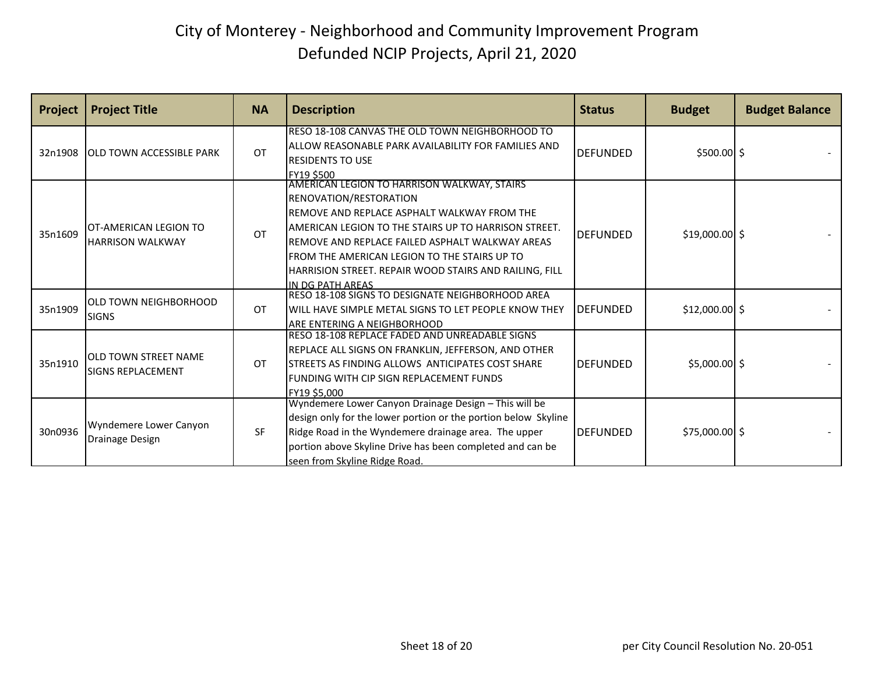| <b>Project</b> | <b>Project Title</b>                                     | <b>NA</b> | <b>Description</b>                                                                                                                                                                                                                                                                                                                                                   | <b>Status</b>    | <b>Budget</b>   | <b>Budget Balance</b> |
|----------------|----------------------------------------------------------|-----------|----------------------------------------------------------------------------------------------------------------------------------------------------------------------------------------------------------------------------------------------------------------------------------------------------------------------------------------------------------------------|------------------|-----------------|-----------------------|
| 32n1908        | <b>JOLD TOWN ACCESSIBLE PARK</b>                         | OT        | RESO 18-108 CANVAS THE OLD TOWN NEIGHBORHOOD TO<br>ALLOW REASONABLE PARK AVAILABILITY FOR FAMILIES AND<br><b>RESIDENTS TO USE</b><br><b>FY19 \$500</b>                                                                                                                                                                                                               | <b>IDEFUNDED</b> | $$500.00$ \$    |                       |
| 35n1609        | <b>IOT-AMERICAN LEGION TO</b><br><b>HARRISON WALKWAY</b> | OT        | AMERICAN LEGION TO HARRISON WALKWAY, STAIRS<br><b>RENOVATION/RESTORATION</b><br>REMOVE AND REPLACE ASPHALT WALKWAY FROM THE<br>AMERICAN LEGION TO THE STAIRS UP TO HARRISON STREET.<br>REMOVE AND REPLACE FAILED ASPHALT WALKWAY AREAS<br>FROM THE AMERICAN LEGION TO THE STAIRS UP TO<br>HARRISION STREET. REPAIR WOOD STAIRS AND RAILING, FILL<br>IN DG PATH ARFAS | <b>IDEFUNDED</b> | $$19,000.00$ \$ |                       |
| 35n1909        | <b>OLD TOWN NEIGHBORHOOD</b><br><b>SIGNS</b>             | OT        | RESO 18-108 SIGNS TO DESIGNATE NEIGHBORHOOD AREA<br>WILL HAVE SIMPLE METAL SIGNS TO LET PEOPLE KNOW THEY<br>ARE ENTERING A NEIGHBORHOOD                                                                                                                                                                                                                              | IDEFUNDED        | $$12,000.00$ \$ |                       |
| 35n1910        | <b>IOLD TOWN STREET NAME</b><br><b>SIGNS REPLACEMENT</b> | OT        | RESO 18-108 REPLACE FADED AND UNREADABLE SIGNS<br>REPLACE ALL SIGNS ON FRANKLIN, JEFFERSON, AND OTHER<br>STREETS AS FINDING ALLOWS ANTICIPATES COST SHARE<br>FUNDING WITH CIP SIGN REPLACEMENT FUNDS<br>FY19 \$5.000                                                                                                                                                 | <b>IDEFUNDED</b> | $$5,000.00$ \$  |                       |
| 30n0936        | Wyndemere Lower Canyon<br><b>Drainage Design</b>         | <b>SF</b> | Wyndemere Lower Canyon Drainage Design - This will be<br>design only for the lower portion or the portion below Skyline<br>Ridge Road in the Wyndemere drainage area. The upper<br>portion above Skyline Drive has been completed and can be<br>seen from Skyline Ridge Road.                                                                                        | <b>DEFUNDED</b>  | $$75,000.00$ \$ |                       |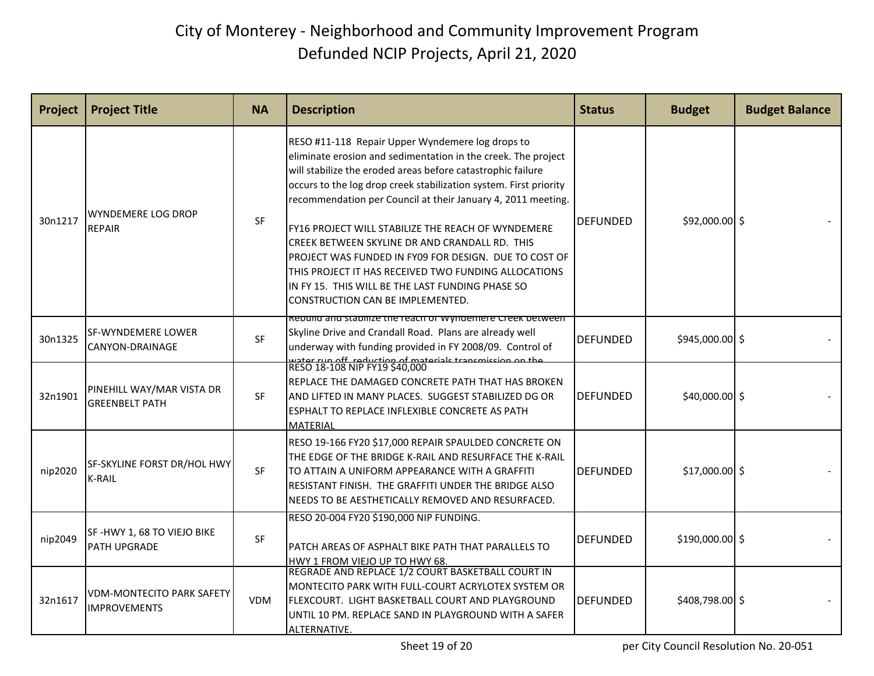| Project | <b>Project Title</b>                                    | <b>NA</b>  | <b>Description</b>                                                                                                                                                                                                                                                                                                                                                                                                                                                                                                                                                                                                                     | <b>Status</b>   | <b>Budget</b>    | <b>Budget Balance</b> |
|---------|---------------------------------------------------------|------------|----------------------------------------------------------------------------------------------------------------------------------------------------------------------------------------------------------------------------------------------------------------------------------------------------------------------------------------------------------------------------------------------------------------------------------------------------------------------------------------------------------------------------------------------------------------------------------------------------------------------------------------|-----------------|------------------|-----------------------|
| 30n1217 | <b>WYNDEMERE LOG DROP</b><br><b>REPAIR</b>              | <b>SF</b>  | RESO #11-118 Repair Upper Wyndemere log drops to<br>eliminate erosion and sedimentation in the creek. The project<br>will stabilize the eroded areas before catastrophic failure<br>occurs to the log drop creek stabilization system. First priority<br>recommendation per Council at their January 4, 2011 meeting.<br>FY16 PROJECT WILL STABILIZE THE REACH OF WYNDEMERE<br>CREEK BETWEEN SKYLINE DR AND CRANDALL RD. THIS<br>PROJECT WAS FUNDED IN FY09 FOR DESIGN. DUE TO COST OF<br>THIS PROJECT IT HAS RECEIVED TWO FUNDING ALLOCATIONS<br>IN FY 15. THIS WILL BE THE LAST FUNDING PHASE SO<br>CONSTRUCTION CAN BE IMPLEMENTED. | DEFUNDED        | \$92,000.00 \$   |                       |
| 30n1325 | SF-WYNDEMERE LOWER<br>CANYON-DRAINAGE                   | SF         | kebulla and stabilize the reach of wyndemere Creek between.<br>Skyline Drive and Crandall Road. Plans are already well<br>underway with funding provided in FY 2008/09. Control of<br>vator run off, roduction of matorials transmission on the                                                                                                                                                                                                                                                                                                                                                                                        | <b>DEFUNDED</b> | \$945,000.00 \$  |                       |
| 32n1901 | PINEHILL WAY/MAR VISTA DR<br><b>GREENBELT PATH</b>      | <b>SF</b>  | RESO 18-108 NIP FY19 \$40,000<br>REPLACE THE DAMAGED CONCRETE PATH THAT HAS BROKEN<br>AND LIFTED IN MANY PLACES. SUGGEST STABILIZED DG OR<br>ESPHALT TO REPLACE INFLEXIBLE CONCRETE AS PATH<br><b>MATERIAL</b>                                                                                                                                                                                                                                                                                                                                                                                                                         | <b>DEFUNDED</b> | $$40,000.00$ \$  |                       |
| nip2020 | SF-SKYLINE FORST DR/HOL HWY<br><b>K-RAIL</b>            | SF         | RESO 19-166 FY20 \$17,000 REPAIR SPAULDED CONCRETE ON<br>THE EDGE OF THE BRIDGE K-RAIL AND RESURFACE THE K-RAIL<br>TO ATTAIN A UNIFORM APPEARANCE WITH A GRAFFITI<br>RESISTANT FINISH. THE GRAFFITI UNDER THE BRIDGE ALSO<br>NEEDS TO BE AESTHETICALLY REMOVED AND RESURFACED.                                                                                                                                                                                                                                                                                                                                                         | <b>DEFUNDED</b> | $$17,000.00$ \$  |                       |
| nip2049 | SF-HWY 1, 68 TO VIEJO BIKE<br><b>PATH UPGRADE</b>       | SF         | RESO 20-004 FY20 \$190,000 NIP FUNDING.<br>PATCH AREAS OF ASPHALT BIKE PATH THAT PARALLELS TO<br>HWY 1 FROM VIEJO UP TO HWY 68.                                                                                                                                                                                                                                                                                                                                                                                                                                                                                                        | <b>DEFUNDED</b> | $$190,000.00$ \$ |                       |
| 32n1617 | <b>VDM-MONTECITO PARK SAFETY</b><br><b>IMPROVEMENTS</b> | <b>VDM</b> | REGRADE AND REPLACE 1/2 COURT BASKETBALL COURT IN<br>MONTECITO PARK WITH FULL-COURT ACRYLOTEX SYSTEM OR<br>FLEXCOURT. LIGHT BASKETBALL COURT AND PLAYGROUND<br>UNTIL 10 PM. REPLACE SAND IN PLAYGROUND WITH A SAFER<br>ALTERNATIVE.                                                                                                                                                                                                                                                                                                                                                                                                    | <b>DEFUNDED</b> | \$408,798.00 \$  |                       |